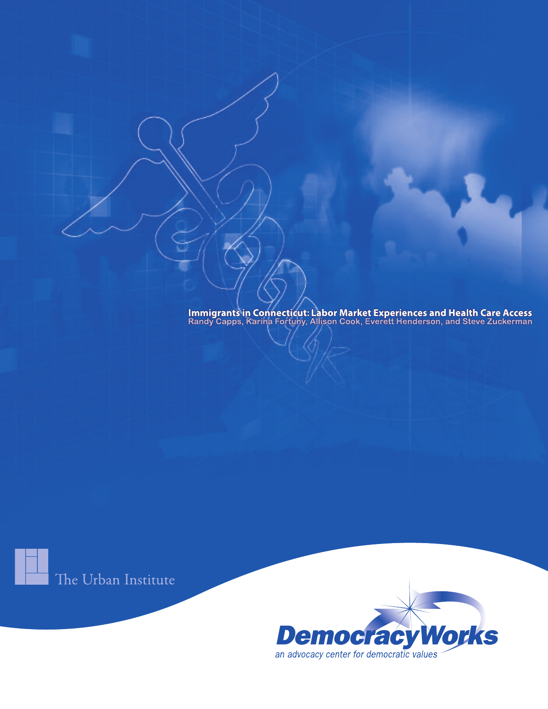Immigrants in Connecticut: Labor Market Experiences and Health Care Access<br>Randy Capps, Karina Fortuny, Allison Cook, Everett Henderson, and Steve Zuckerman

The Urban Institute

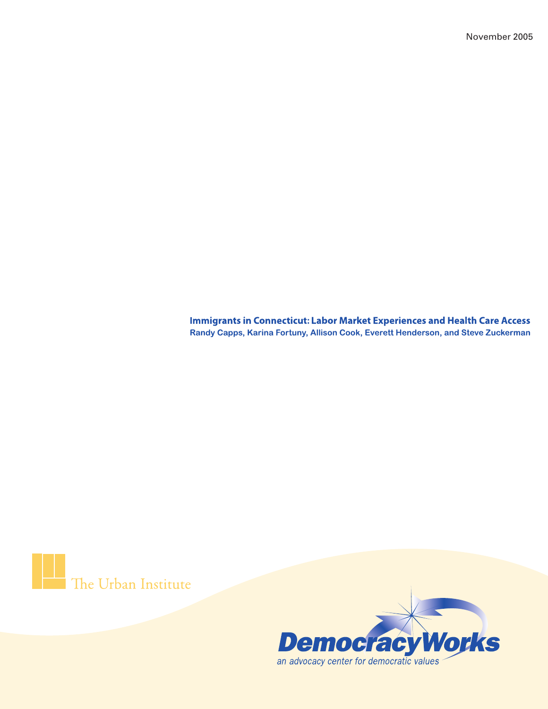November 2005

**Immigrants in Connecticut: Labor Market Experiences and Health Care Access** Randy Capps, Karina Fortuny, Allison Cook, Everett Henderson, and Steve Zuckerman

The Urban Institute

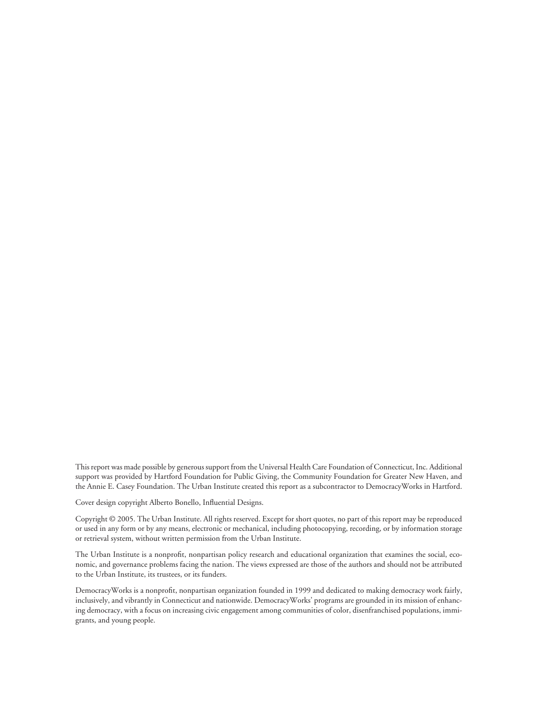This report was made possible by generous support from the Universal Health Care Foundation of Connecticut, Inc. Additional support was provided by Hartford Foundation for Public Giving, the Community Foundation for Greater New Haven, and the Annie E. Casey Foundation. The Urban Institute created this report as a subcontractor to DemocracyWorks in Hartford.

Cover design copyright Alberto Bonello, Influential Designs.

Copyright © 2005. The Urban Institute. All rights reserved. Except for short quotes, no part of this report may be reproduced or used in any form or by any means, electronic or mechanical, including photocopying, recording, or by information storage or retrieval system, without written permission from the Urban Institute.

The Urban Institute is a nonprofit, nonpartisan policy research and educational organization that examines the social, economic, and governance problems facing the nation. The views expressed are those of the authors and should not be attributed to the Urban Institute, its trustees, or its funders.

DemocracyWorks is a nonprofit, nonpartisan organization founded in 1999 and dedicated to making democracy work fairly, inclusively, and vibrantly in Connecticut and nationwide. DemocracyWorks' programs are grounded in its mission of enhancing democracy, with a focus on increasing civic engagement among communities of color, disenfranchised populations, immigrants, and young people.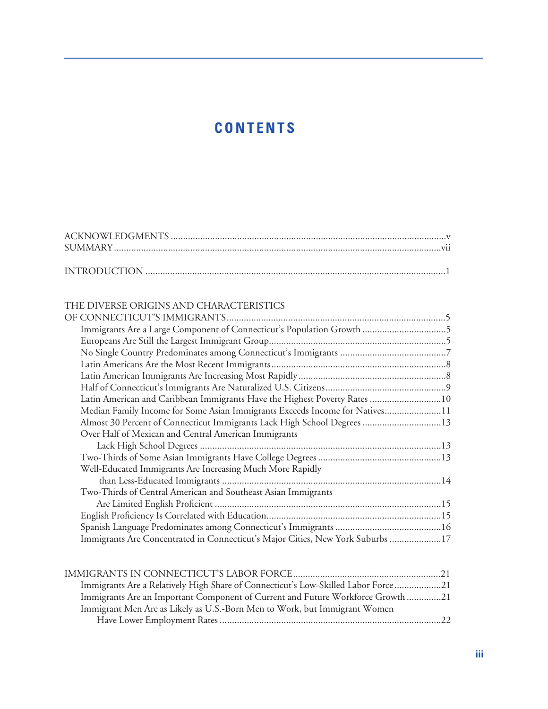## **CONTENTS**

#### THE DIVERSE ORIGINS AND CHARACTERISTICS

| Immigrants Are a Large Component of Connecticut's Population Growth 5          |  |
|--------------------------------------------------------------------------------|--|
|                                                                                |  |
|                                                                                |  |
|                                                                                |  |
|                                                                                |  |
|                                                                                |  |
| Latin American and Caribbean Immigrants Have the Highest Poverty Rates 10      |  |
| Median Family Income for Some Asian Immigrants Exceeds Income for Natives11    |  |
| Almost 30 Percent of Connecticut Immigrants Lack High School Degrees 13        |  |
| Over Half of Mexican and Central American Immigrants                           |  |
|                                                                                |  |
|                                                                                |  |
| Well-Educated Immigrants Are Increasing Much More Rapidly                      |  |
|                                                                                |  |
| Two-Thirds of Central American and Southeast Asian Immigrants                  |  |
|                                                                                |  |
|                                                                                |  |
|                                                                                |  |
| Immigrants Are Concentrated in Connecticut's Major Cities, New York Suburbs 17 |  |
|                                                                                |  |

| Immigrants Are a Relatively High Share of Connecticut's Low-Skilled Labor Force21 |  |
|-----------------------------------------------------------------------------------|--|
| Immigrants Are an Important Component of Current and Future Workforce Growth 21   |  |
| Immigrant Men Are as Likely as U.S.-Born Men to Work, but Immigrant Women         |  |
|                                                                                   |  |
|                                                                                   |  |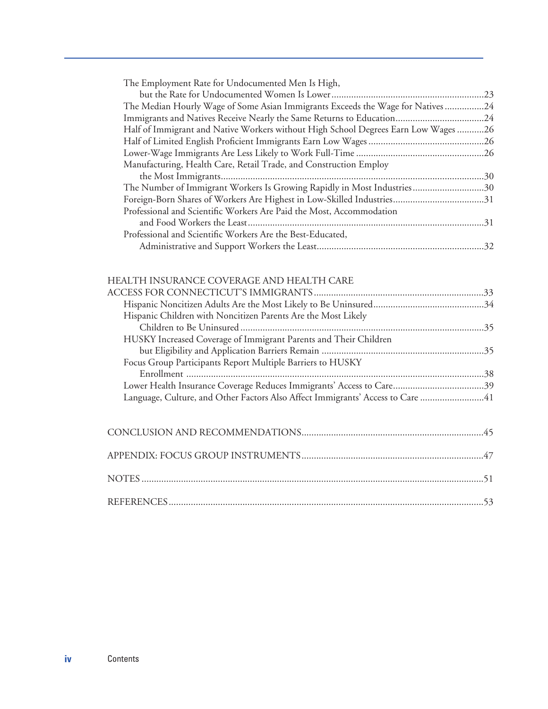|  | The Employment Rate for Undocumented Men Is High, |  |
|--|---------------------------------------------------|--|
|  |                                                   |  |

| The Median Hourly Wage of Some Asian Immigrants Exceeds the Wage for Natives 24    |  |
|------------------------------------------------------------------------------------|--|
|                                                                                    |  |
| Half of Immigrant and Native Workers without High School Degrees Earn Low Wages 26 |  |
|                                                                                    |  |
|                                                                                    |  |
| Manufacturing, Health Care, Retail Trade, and Construction Employ                  |  |
|                                                                                    |  |
| The Number of Immigrant Workers Is Growing Rapidly in Most Industries30            |  |
|                                                                                    |  |
| Professional and Scientific Workers Are Paid the Most, Accommodation               |  |
|                                                                                    |  |
| Professional and Scientific Workers Are the Best-Educated,                         |  |
|                                                                                    |  |
|                                                                                    |  |

#### HEALTH INSURANCE COVERAGE AND HEALTH CARE

| Hispanic Children with Noncitizen Parents Are the Most Likely                  |  |
|--------------------------------------------------------------------------------|--|
|                                                                                |  |
| HUSKY Increased Coverage of Immigrant Parents and Their Children               |  |
|                                                                                |  |
| Focus Group Participants Report Multiple Barriers to HUSKY                     |  |
|                                                                                |  |
|                                                                                |  |
| Language, Culture, and Other Factors Also Affect Immigrants' Access to Care 41 |  |
|                                                                                |  |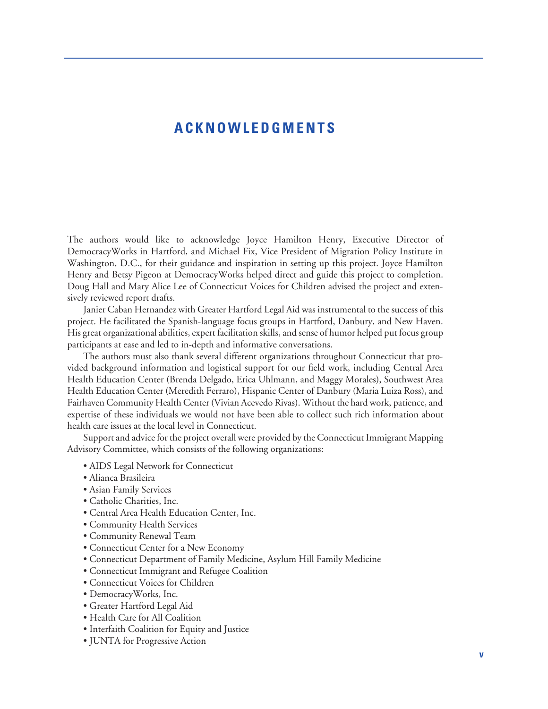#### **ACKNOWLEDGMENTS**

The authors would like to acknowledge Joyce Hamilton Henry, Executive Director of DemocracyWorks in Hartford, and Michael Fix, Vice President of Migration Policy Institute in Washington, D.C., for their guidance and inspiration in setting up this project. Joyce Hamilton Henry and Betsy Pigeon at DemocracyWorks helped direct and guide this project to completion. Doug Hall and Mary Alice Lee of Connecticut Voices for Children advised the project and extensively reviewed report drafts.

Janier Caban Hernandez with Greater Hartford Legal Aid was instrumental to the success of this project. He facilitated the Spanish-language focus groups in Hartford, Danbury, and New Haven. His great organizational abilities, expert facilitation skills, and sense of humor helped put focus group participants at ease and led to in-depth and informative conversations.

The authors must also thank several different organizations throughout Connecticut that provided background information and logistical support for our field work, including Central Area Health Education Center (Brenda Delgado, Erica Uhlmann, and Maggy Morales), Southwest Area Health Education Center (Meredith Ferraro), Hispanic Center of Danbury (Maria Luiza Ross), and Fairhaven Community Health Center (Vivian Acevedo Rivas). Without the hard work, patience, and expertise of these individuals we would not have been able to collect such rich information about health care issues at the local level in Connecticut.

Support and advice for the project overall were provided by the Connecticut Immigrant Mapping Advisory Committee, which consists of the following organizations:

- AIDS Legal Network for Connecticut
- Alianca Brasileira
- Asian Family Services
- Catholic Charities, Inc.
- Central Area Health Education Center, Inc.
- Community Health Services
- Community Renewal Team
- Connecticut Center for a New Economy
- Connecticut Department of Family Medicine, Asylum Hill Family Medicine
- Connecticut Immigrant and Refugee Coalition
- Connecticut Voices for Children
- DemocracyWorks, Inc.
- Greater Hartford Legal Aid
- Health Care for All Coalition
- Interfaith Coalition for Equity and Justice
- JUNTA for Progressive Action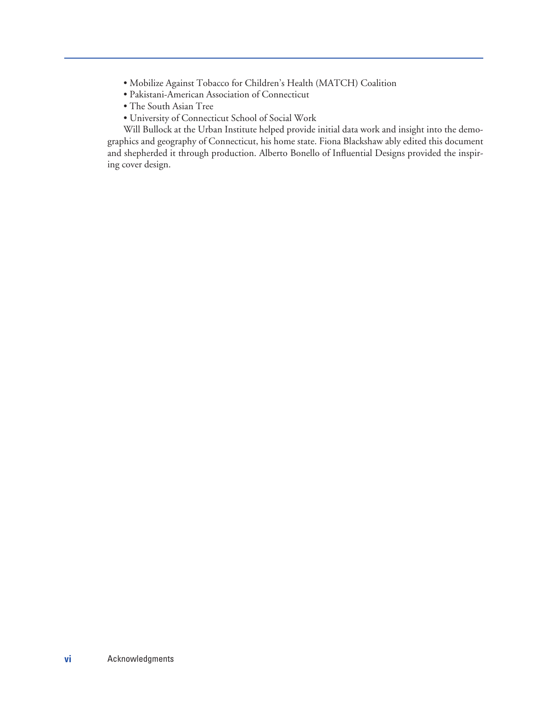- Mobilize Against Tobacco for Children's Health (MATCH) Coalition
- Pakistani-American Association of Connecticut
- The South Asian Tree
- University of Connecticut School of Social Work

Will Bullock at the Urban Institute helped provide initial data work and insight into the demographics and geography of Connecticut, his home state. Fiona Blackshaw ably edited this document and shepherded it through production. Alberto Bonello of Influential Designs provided the inspiring cover design.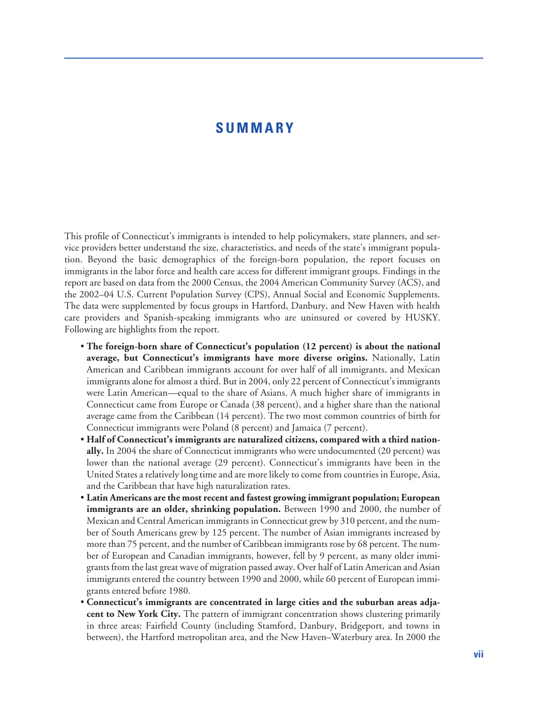#### **SUMMARY**

This profile of Connecticut's immigrants is intended to help policymakers, state planners, and service providers better understand the size, characteristics, and needs of the state's immigrant population. Beyond the basic demographics of the foreign-born population, the report focuses on immigrants in the labor force and health care access for different immigrant groups. Findings in the report are based on data from the 2000 Census, the 2004 American Community Survey (ACS), and the 2002–04 U.S. Current Population Survey (CPS), Annual Social and Economic Supplements. The data were supplemented by focus groups in Hartford, Danbury, and New Haven with health care providers and Spanish-speaking immigrants who are uninsured or covered by HUSKY. Following are highlights from the report.

- **The foreign-born share of Connecticut's population (12 percent) is about the national average, but Connecticut's immigrants have more diverse origins.** Nationally, Latin American and Caribbean immigrants account for over half of all immigrants, and Mexican immigrants alone for almost a third. But in 2004, only 22 percent of Connecticut's immigrants were Latin American—equal to the share of Asians. A much higher share of immigrants in Connecticut came from Europe or Canada (38 percent), and a higher share than the national average came from the Caribbean (14 percent). The two most common countries of birth for Connecticut immigrants were Poland (8 percent) and Jamaica (7 percent).
- **Half of Connecticut's immigrants are naturalized citizens, compared with a third nationally.** In 2004 the share of Connecticut immigrants who were undocumented (20 percent) was lower than the national average (29 percent). Connecticut's immigrants have been in the United States a relatively long time and are more likely to come from countries in Europe, Asia, and the Caribbean that have high naturalization rates.
- **Latin Americans are the most recent and fastest growing immigrant population; European immigrants are an older, shrinking population.** Between 1990 and 2000, the number of Mexican and Central American immigrants in Connecticut grew by 310 percent, and the number of South Americans grew by 125 percent. The number of Asian immigrants increased by more than 75 percent, and the number of Caribbean immigrants rose by 68 percent. The number of European and Canadian immigrants, however, fell by 9 percent, as many older immigrants from the last great wave of migration passed away. Over half of Latin American and Asian immigrants entered the country between 1990 and 2000, while 60 percent of European immigrants entered before 1980.
- **Connecticut's immigrants are concentrated in large cities and the suburban areas adjacent to New York City.** The pattern of immigrant concentration shows clustering primarily in three areas: Fairfield County (including Stamford, Danbury, Bridgeport, and towns in between), the Hartford metropolitan area, and the New Haven–Waterbury area. In 2000 the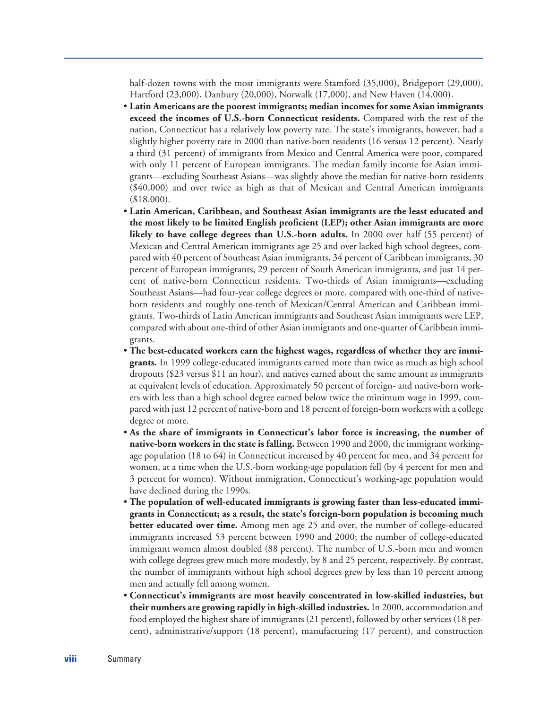half-dozen towns with the most immigrants were Stamford (35,000), Bridgeport (29,000), Hartford (23,000), Danbury (20,000), Norwalk (17,000), and New Haven (14,000).

- **Latin Americans are the poorest immigrants; median incomes for some Asian immigrants exceed the incomes of U.S.-born Connecticut residents.** Compared with the rest of the nation, Connecticut has a relatively low poverty rate. The state's immigrants, however, had a slightly higher poverty rate in 2000 than native-born residents (16 versus 12 percent). Nearly a third (31 percent) of immigrants from Mexico and Central America were poor, compared with only 11 percent of European immigrants. The median family income for Asian immigrants—excluding Southeast Asians—was slightly above the median for native-born residents (\$40,000) and over twice as high as that of Mexican and Central American immigrants (\$18,000).
- **Latin American, Caribbean, and Southeast Asian immigrants are the least educated and the most likely to be limited English proficient (LEP); other Asian immigrants are more likely to have college degrees than U.S.-born adults.** In 2000 over half (55 percent) of Mexican and Central American immigrants age 25 and over lacked high school degrees, compared with 40 percent of Southeast Asian immigrants, 34 percent of Caribbean immigrants, 30 percent of European immigrants, 29 percent of South American immigrants, and just 14 percent of native-born Connecticut residents. Two-thirds of Asian immigrants—excluding Southeast Asians—had four-year college degrees or more, compared with one-third of nativeborn residents and roughly one-tenth of Mexican/Central American and Caribbean immigrants. Two-thirds of Latin American immigrants and Southeast Asian immigrants were LEP, compared with about one-third of other Asian immigrants and one-quarter of Caribbean immigrants.
- **The best-educated workers earn the highest wages, regardless of whether they are immigrants.** In 1999 college-educated immigrants earned more than twice as much as high school dropouts (\$23 versus \$11 an hour), and natives earned about the same amount as immigrants at equivalent levels of education. Approximately 50 percent of foreign- and native-born workers with less than a high school degree earned below twice the minimum wage in 1999, compared with just 12 percent of native-born and 18 percent of foreign-born workers with a college degree or more.
- **As the share of immigrants in Connecticut's labor force is increasing, the number of native-born workers in the state is falling.** Between 1990 and 2000, the immigrant workingage population (18 to 64) in Connecticut increased by 40 percent for men, and 34 percent for women, at a time when the U.S.-born working-age population fell (by 4 percent for men and 3 percent for women). Without immigration, Connecticut's working-age population would have declined during the 1990s.
- **The population of well-educated immigrants is growing faster than less-educated immigrants in Connecticut; as a result, the state's foreign-born population is becoming much better educated over time.** Among men age 25 and over, the number of college-educated immigrants increased 53 percent between 1990 and 2000; the number of college-educated immigrant women almost doubled (88 percent). The number of U.S.-born men and women with college degrees grew much more modestly, by 8 and 25 percent, respectively. By contrast, the number of immigrants without high school degrees grew by less than 10 percent among men and actually fell among women.
- **Connecticut's immigrants are most heavily concentrated in low-skilled industries, but their numbers are growing rapidly in high-skilled industries.** In 2000, accommodation and food employed the highest share of immigrants (21 percent), followed by other services (18 percent), administrative/support (18 percent), manufacturing (17 percent), and construction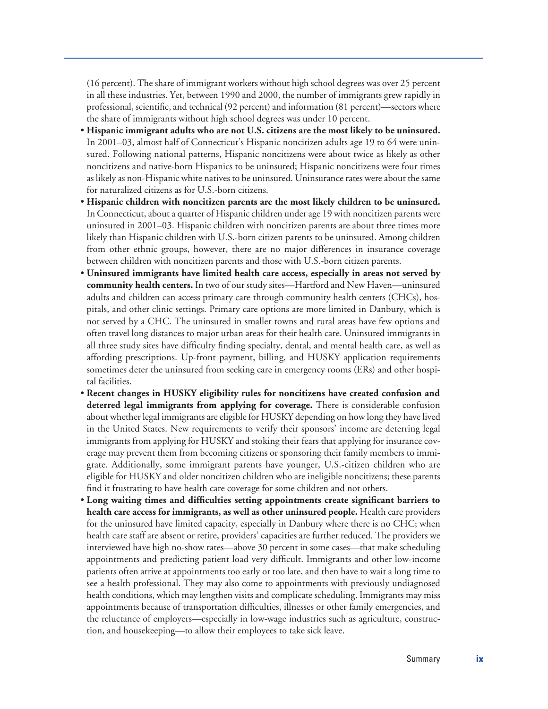(16 percent). The share of immigrant workers without high school degrees was over 25 percent in all these industries. Yet, between 1990 and 2000, the number of immigrants grew rapidly in professional, scientific, and technical (92 percent) and information (81 percent)—sectors where the share of immigrants without high school degrees was under 10 percent.

- **Hispanic immigrant adults who are not U.S. citizens are the most likely to be uninsured.** In 2001–03, almost half of Connecticut's Hispanic noncitizen adults age 19 to 64 were uninsured. Following national patterns, Hispanic noncitizens were about twice as likely as other noncitizens and native-born Hispanics to be uninsured; Hispanic noncitizens were four times as likely as non-Hispanic white natives to be uninsured. Uninsurance rates were about the same for naturalized citizens as for U.S.-born citizens.
- **Hispanic children with noncitizen parents are the most likely children to be uninsured.** In Connecticut, about a quarter of Hispanic children under age 19 with noncitizen parents were uninsured in 2001–03. Hispanic children with noncitizen parents are about three times more likely than Hispanic children with U.S.-born citizen parents to be uninsured. Among children from other ethnic groups, however, there are no major differences in insurance coverage between children with noncitizen parents and those with U.S.-born citizen parents.
- **Uninsured immigrants have limited health care access, especially in areas not served by community health centers.** In two of our study sites—Hartford and New Haven—uninsured adults and children can access primary care through community health centers (CHCs), hospitals, and other clinic settings. Primary care options are more limited in Danbury, which is not served by a CHC. The uninsured in smaller towns and rural areas have few options and often travel long distances to major urban areas for their health care. Uninsured immigrants in all three study sites have difficulty finding specialty, dental, and mental health care, as well as affording prescriptions. Up-front payment, billing, and HUSKY application requirements sometimes deter the uninsured from seeking care in emergency rooms (ERs) and other hospital facilities.
- **Recent changes in HUSKY eligibility rules for noncitizens have created confusion and deterred legal immigrants from applying for coverage.** There is considerable confusion about whether legal immigrants are eligible for HUSKY depending on how long they have lived in the United States. New requirements to verify their sponsors' income are deterring legal immigrants from applying for HUSKY and stoking their fears that applying for insurance coverage may prevent them from becoming citizens or sponsoring their family members to immigrate. Additionally, some immigrant parents have younger, U.S.-citizen children who are eligible for HUSKY and older noncitizen children who are ineligible noncitizens; these parents find it frustrating to have health care coverage for some children and not others.
- **Long waiting times and difficulties setting appointments create significant barriers to health care access for immigrants, as well as other uninsured people.** Health care providers for the uninsured have limited capacity, especially in Danbury where there is no CHC; when health care staff are absent or retire, providers' capacities are further reduced. The providers we interviewed have high no-show rates—above 30 percent in some cases—that make scheduling appointments and predicting patient load very difficult. Immigrants and other low-income patients often arrive at appointments too early or too late, and then have to wait a long time to see a health professional. They may also come to appointments with previously undiagnosed health conditions, which may lengthen visits and complicate scheduling. Immigrants may miss appointments because of transportation difficulties, illnesses or other family emergencies, and the reluctance of employers—especially in low-wage industries such as agriculture, construction, and housekeeping—to allow their employees to take sick leave.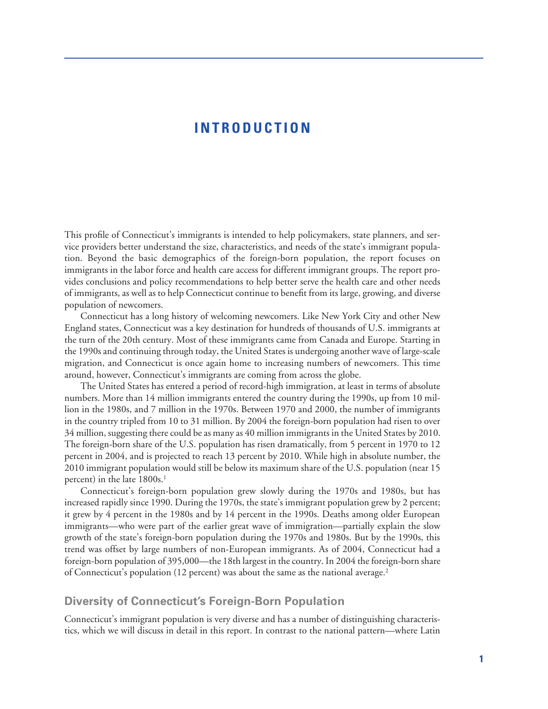#### **INTRODUCTION**

This profile of Connecticut's immigrants is intended to help policymakers, state planners, and service providers better understand the size, characteristics, and needs of the state's immigrant population. Beyond the basic demographics of the foreign-born population, the report focuses on immigrants in the labor force and health care access for different immigrant groups. The report provides conclusions and policy recommendations to help better serve the health care and other needs of immigrants, as well as to help Connecticut continue to benefit from its large, growing, and diverse population of newcomers.

Connecticut has a long history of welcoming newcomers. Like New York City and other New England states, Connecticut was a key destination for hundreds of thousands of U.S. immigrants at the turn of the 20th century. Most of these immigrants came from Canada and Europe. Starting in the 1990s and continuing through today, the United States is undergoing another wave of large-scale migration, and Connecticut is once again home to increasing numbers of newcomers. This time around, however, Connecticut's immigrants are coming from across the globe.

The United States has entered a period of record-high immigration, at least in terms of absolute numbers. More than 14 million immigrants entered the country during the 1990s, up from 10 million in the 1980s, and 7 million in the 1970s. Between 1970 and 2000, the number of immigrants in the country tripled from 10 to 31 million. By 2004 the foreign-born population had risen to over 34 million, suggesting there could be as many as 40 million immigrants in the United States by 2010. The foreign-born share of the U.S. population has risen dramatically, from 5 percent in 1970 to 12 percent in 2004, and is projected to reach 13 percent by 2010. While high in absolute number, the 2010 immigrant population would still be below its maximum share of the U.S. population (near 15 percent) in the late 1800s.<sup>1</sup>

Connecticut's foreign-born population grew slowly during the 1970s and 1980s, but has increased rapidly since 1990. During the 1970s, the state's immigrant population grew by 2 percent; it grew by 4 percent in the 1980s and by 14 percent in the 1990s. Deaths among older European immigrants—who were part of the earlier great wave of immigration—partially explain the slow growth of the state's foreign-born population during the 1970s and 1980s. But by the 1990s, this trend was offset by large numbers of non-European immigrants. As of 2004, Connecticut had a foreign-born population of 395,000—the 18th largest in the country. In 2004 the foreign-born share of Connecticut's population (12 percent) was about the same as the national average.2

#### **Diversity of Connecticut's Foreign-Born Population**

Connecticut's immigrant population is very diverse and has a number of distinguishing characteristics, which we will discuss in detail in this report. In contrast to the national pattern—where Latin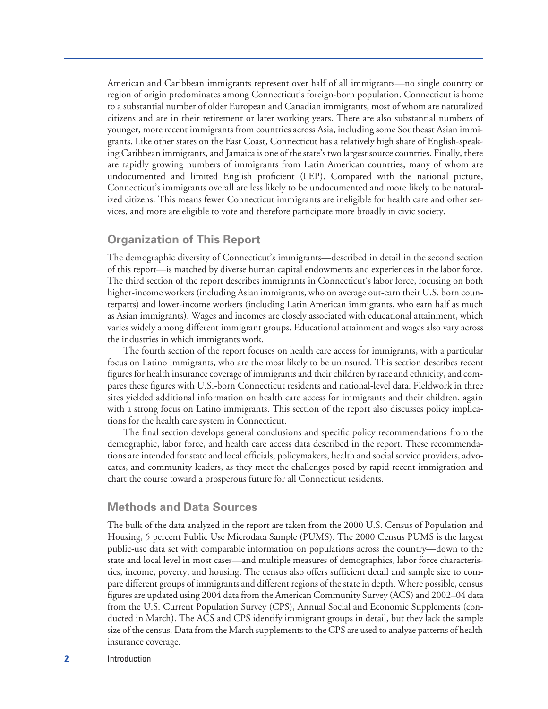American and Caribbean immigrants represent over half of all immigrants—no single country or region of origin predominates among Connecticut's foreign-born population. Connecticut is home to a substantial number of older European and Canadian immigrants, most of whom are naturalized citizens and are in their retirement or later working years. There are also substantial numbers of younger, more recent immigrants from countries across Asia, including some Southeast Asian immigrants. Like other states on the East Coast, Connecticut has a relatively high share of English-speaking Caribbean immigrants, and Jamaica is one of the state's two largest source countries. Finally, there are rapidly growing numbers of immigrants from Latin American countries, many of whom are undocumented and limited English proficient (LEP). Compared with the national picture, Connecticut's immigrants overall are less likely to be undocumented and more likely to be naturalized citizens. This means fewer Connecticut immigrants are ineligible for health care and other services, and more are eligible to vote and therefore participate more broadly in civic society.

#### **Organization of This Report**

The demographic diversity of Connecticut's immigrants—described in detail in the second section of this report—is matched by diverse human capital endowments and experiences in the labor force. The third section of the report describes immigrants in Connecticut's labor force, focusing on both higher-income workers (including Asian immigrants, who on average out-earn their U.S. born counterparts) and lower-income workers (including Latin American immigrants, who earn half as much as Asian immigrants). Wages and incomes are closely associated with educational attainment, which varies widely among different immigrant groups. Educational attainment and wages also vary across the industries in which immigrants work.

The fourth section of the report focuses on health care access for immigrants, with a particular focus on Latino immigrants, who are the most likely to be uninsured. This section describes recent figures for health insurance coverage of immigrants and their children by race and ethnicity, and compares these figures with U.S.-born Connecticut residents and national-level data. Fieldwork in three sites yielded additional information on health care access for immigrants and their children, again with a strong focus on Latino immigrants. This section of the report also discusses policy implications for the health care system in Connecticut.

The final section develops general conclusions and specific policy recommendations from the demographic, labor force, and health care access data described in the report. These recommendations are intended for state and local officials, policymakers, health and social service providers, advocates, and community leaders, as they meet the challenges posed by rapid recent immigration and chart the course toward a prosperous future for all Connecticut residents.

#### **Methods and Data Sources**

The bulk of the data analyzed in the report are taken from the 2000 U.S. Census of Population and Housing, 5 percent Public Use Microdata Sample (PUMS). The 2000 Census PUMS is the largest public-use data set with comparable information on populations across the country—down to the state and local level in most cases—and multiple measures of demographics, labor force characteristics, income, poverty, and housing. The census also offers sufficient detail and sample size to compare different groups of immigrants and different regions of the state in depth. Where possible, census figures are updated using 2004 data from the American Community Survey (ACS) and 2002–04 data from the U.S. Current Population Survey (CPS), Annual Social and Economic Supplements (conducted in March). The ACS and CPS identify immigrant groups in detail, but they lack the sample size of the census. Data from the March supplements to the CPS are used to analyze patterns of health insurance coverage.

**2** Introduction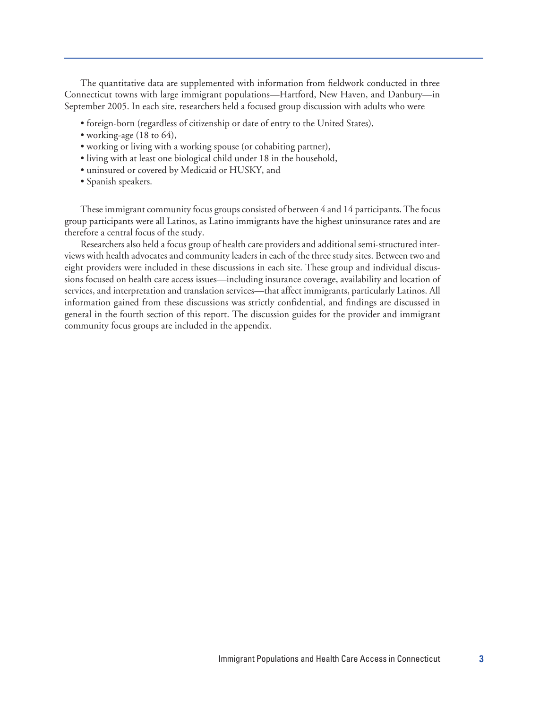The quantitative data are supplemented with information from fieldwork conducted in three Connecticut towns with large immigrant populations—Hartford, New Haven, and Danbury—in September 2005. In each site, researchers held a focused group discussion with adults who were

- foreign-born (regardless of citizenship or date of entry to the United States),
- working-age (18 to 64),
- working or living with a working spouse (or cohabiting partner),
- living with at least one biological child under 18 in the household,
- uninsured or covered by Medicaid or HUSKY, and
- Spanish speakers.

These immigrant community focus groups consisted of between 4 and 14 participants. The focus group participants were all Latinos, as Latino immigrants have the highest uninsurance rates and are therefore a central focus of the study.

Researchers also held a focus group of health care providers and additional semi-structured interviews with health advocates and community leaders in each of the three study sites. Between two and eight providers were included in these discussions in each site. These group and individual discussions focused on health care access issues—including insurance coverage, availability and location of services, and interpretation and translation services—that affect immigrants, particularly Latinos. All information gained from these discussions was strictly confidential, and findings are discussed in general in the fourth section of this report. The discussion guides for the provider and immigrant community focus groups are included in the appendix.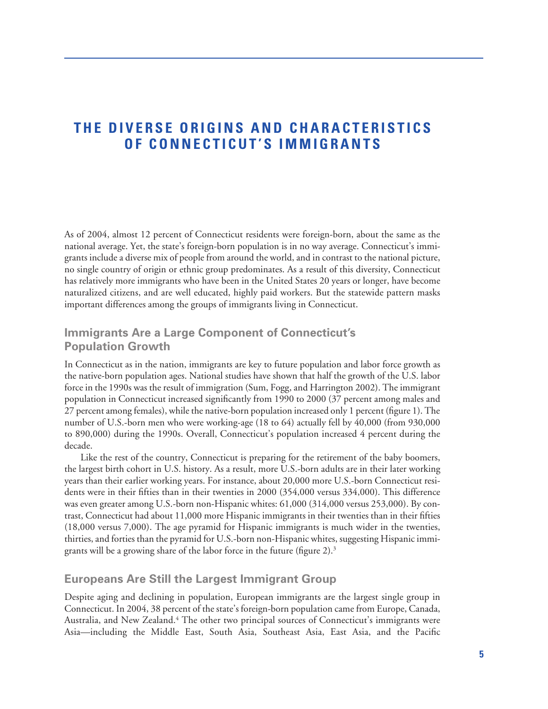## **THE DIVERSE ORIGINS AND CHARACTERISTICS OF CONNECTICUT'S IMMIGRANTS**

As of 2004, almost 12 percent of Connecticut residents were foreign-born, about the same as the national average. Yet, the state's foreign-born population is in no way average. Connecticut's immigrants include a diverse mix of people from around the world, and in contrast to the national picture, no single country of origin or ethnic group predominates. As a result of this diversity, Connecticut has relatively more immigrants who have been in the United States 20 years or longer, have become naturalized citizens, and are well educated, highly paid workers. But the statewide pattern masks important differences among the groups of immigrants living in Connecticut.

#### **Immigrants Are a Large Component of Connecticut's Population Growth**

In Connecticut as in the nation, immigrants are key to future population and labor force growth as the native-born population ages. National studies have shown that half the growth of the U.S. labor force in the 1990s was the result of immigration (Sum, Fogg, and Harrington 2002). The immigrant population in Connecticut increased significantly from 1990 to 2000 (37 percent among males and 27 percent among females), while the native-born population increased only 1 percent (figure 1). The number of U.S.-born men who were working-age (18 to 64) actually fell by 40,000 (from 930,000 to 890,000) during the 1990s. Overall, Connecticut's population increased 4 percent during the decade.

Like the rest of the country, Connecticut is preparing for the retirement of the baby boomers, the largest birth cohort in U.S. history. As a result, more U.S.-born adults are in their later working years than their earlier working years. For instance, about 20,000 more U.S.-born Connecticut residents were in their fifties than in their twenties in 2000 (354,000 versus 334,000). This difference was even greater among U.S.-born non-Hispanic whites: 61,000 (314,000 versus 253,000). By contrast, Connecticut had about 11,000 more Hispanic immigrants in their twenties than in their fifties (18,000 versus 7,000). The age pyramid for Hispanic immigrants is much wider in the twenties, thirties, and forties than the pyramid for U.S.-born non-Hispanic whites, suggesting Hispanic immigrants will be a growing share of the labor force in the future (figure 2).3

#### **Europeans Are Still the Largest Immigrant Group**

Despite aging and declining in population, European immigrants are the largest single group in Connecticut. In 2004, 38 percent of the state's foreign-born population came from Europe, Canada, Australia, and New Zealand.<sup>4</sup> The other two principal sources of Connecticut's immigrants were Asia—including the Middle East, South Asia, Southeast Asia, East Asia, and the Pacific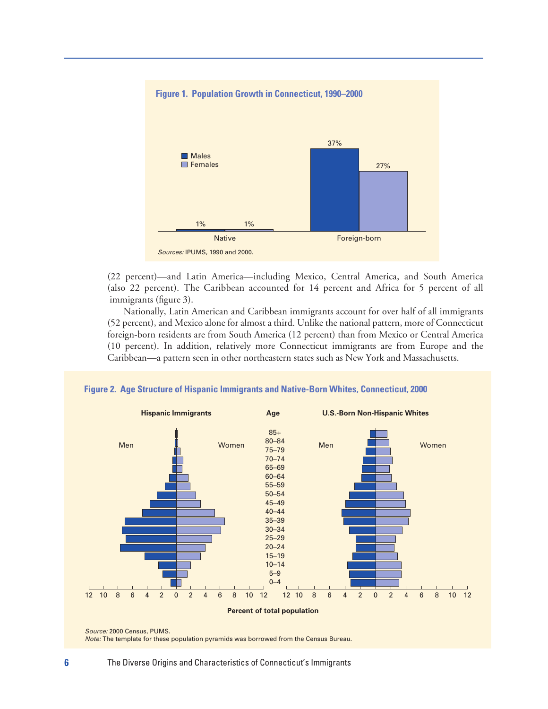

(22 percent)—and Latin America—including Mexico, Central America, and South America (also 22 percent). The Caribbean accounted for 14 percent and Africa for 5 percent of all immigrants (figure 3).

Nationally, Latin American and Caribbean immigrants account for over half of all immigrants (52 percent), and Mexico alone for almost a third. Unlike the national pattern, more of Connecticut foreign-born residents are from South America (12 percent) than from Mexico or Central America (10 percent). In addition, relatively more Connecticut immigrants are from Europe and the Caribbean—a pattern seen in other northeastern states such as New York and Massachusetts.



**Figure 2. Age Structure of Hispanic Immigrants and Native-Born Whites, Connecticut, 2000**

*Note:* The template for these population pyramids was borrowed from the Census Bureau.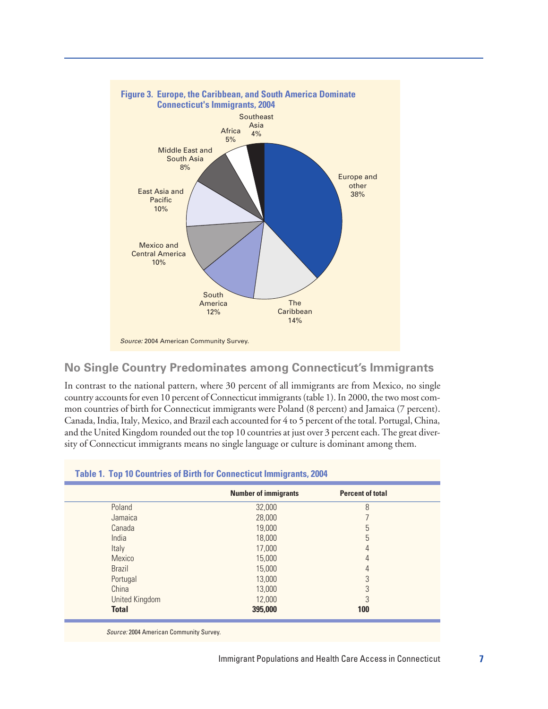

#### **No Single Country Predominates among Connecticut's Immigrants**

In contrast to the national pattern, where 30 percent of all immigrants are from Mexico, no single country accounts for even 10 percent of Connecticut immigrants (table 1). In 2000, the two most common countries of birth for Connecticut immigrants were Poland (8 percent) and Jamaica (7 percent). Canada, India, Italy, Mexico, and Brazil each accounted for 4 to 5 percent of the total. Portugal, China, and the United Kingdom rounded out the top 10 countries at just over 3 percent each. The great diversity of Connecticut immigrants means no single language or culture is dominant among them.

| <b>Number of immigrants</b><br>32,000<br>28,000<br>19,000<br>18,000<br>17,000 | <b>Percent of total</b><br>8<br>5<br>5 |
|-------------------------------------------------------------------------------|----------------------------------------|
|                                                                               |                                        |
|                                                                               |                                        |
|                                                                               |                                        |
|                                                                               |                                        |
|                                                                               |                                        |
|                                                                               | 4                                      |
| 15,000                                                                        | 4                                      |
| 15,000                                                                        | 4                                      |
| 13,000                                                                        | 3                                      |
| 13,000                                                                        | 3                                      |
|                                                                               | 3                                      |
|                                                                               |                                        |
|                                                                               | 12,000                                 |

#### **Table 1. Top 10 Countries of Birth for Connecticut Immigrants, 2004**

*Source:* 2004 American Community Survey.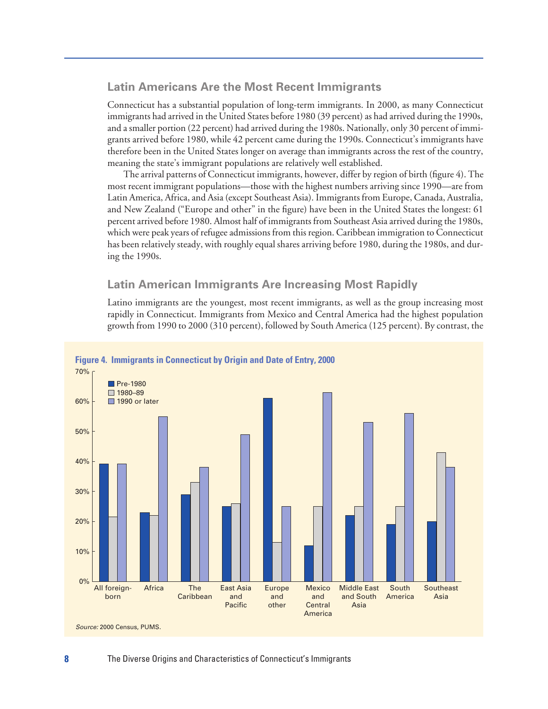#### **Latin Americans Are the Most Recent Immigrants**

Connecticut has a substantial population of long-term immigrants. In 2000, as many Connecticut immigrants had arrived in the United States before 1980 (39 percent) as had arrived during the 1990s, and a smaller portion (22 percent) had arrived during the 1980s. Nationally, only 30 percent of immigrants arrived before 1980, while 42 percent came during the 1990s. Connecticut's immigrants have therefore been in the United States longer on average than immigrants across the rest of the country, meaning the state's immigrant populations are relatively well established.

The arrival patterns of Connecticut immigrants, however, differ by region of birth (figure 4). The most recent immigrant populations—those with the highest numbers arriving since 1990—are from Latin America, Africa, and Asia (except Southeast Asia). Immigrants from Europe, Canada, Australia, and New Zealand ("Europe and other" in the figure) have been in the United States the longest: 61 percent arrived before 1980. Almost half of immigrants from Southeast Asia arrived during the 1980s, which were peak years of refugee admissions from this region. Caribbean immigration to Connecticut has been relatively steady, with roughly equal shares arriving before 1980, during the 1980s, and during the 1990s.

#### **Latin American Immigrants Are Increasing Most Rapidly**

Latino immigrants are the youngest, most recent immigrants, as well as the group increasing most rapidly in Connecticut. Immigrants from Mexico and Central America had the highest population growth from 1990 to 2000 (310 percent), followed by South America (125 percent). By contrast, the

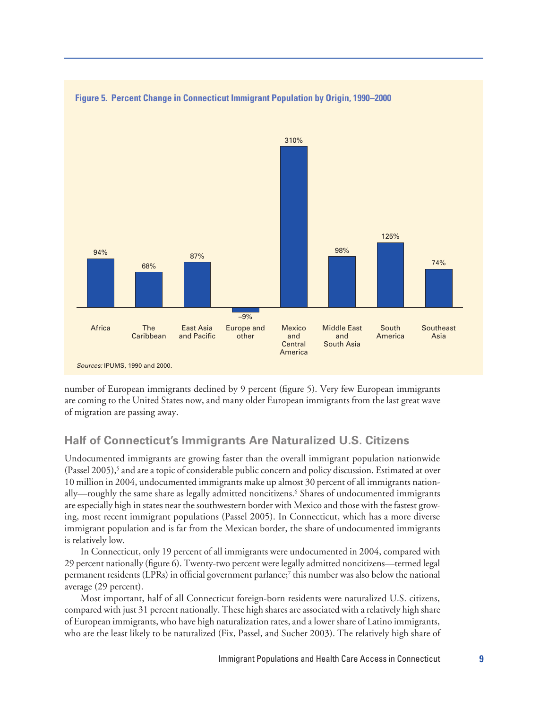

**Figure 5. Percent Change in Connecticut Immigrant Population by Origin, 1990–2000**

number of European immigrants declined by 9 percent (figure 5). Very few European immigrants are coming to the United States now, and many older European immigrants from the last great wave of migration are passing away.

#### **Half of Connecticut's Immigrants Are Naturalized U.S. Citizens**

Undocumented immigrants are growing faster than the overall immigrant population nationwide  $(Passel 2005)$ <sup>5</sup> and are a topic of considerable public concern and policy discussion. Estimated at over 10 million in 2004, undocumented immigrants make up almost 30 percent of all immigrants nationally—roughly the same share as legally admitted noncitizens.<sup>6</sup> Shares of undocumented immigrants are especially high in states near the southwestern border with Mexico and those with the fastest growing, most recent immigrant populations (Passel 2005). In Connecticut, which has a more diverse immigrant population and is far from the Mexican border, the share of undocumented immigrants is relatively low.

In Connecticut, only 19 percent of all immigrants were undocumented in 2004, compared with 29 percent nationally (figure 6). Twenty-two percent were legally admitted noncitizens—termed legal permanent residents (LPRs) in official government parlance;<sup>7</sup> this number was also below the national average (29 percent).

Most important, half of all Connecticut foreign-born residents were naturalized U.S. citizens, compared with just 31 percent nationally. These high shares are associated with a relatively high share of European immigrants, who have high naturalization rates, and a lower share of Latino immigrants, who are the least likely to be naturalized (Fix, Passel, and Sucher 2003). The relatively high share of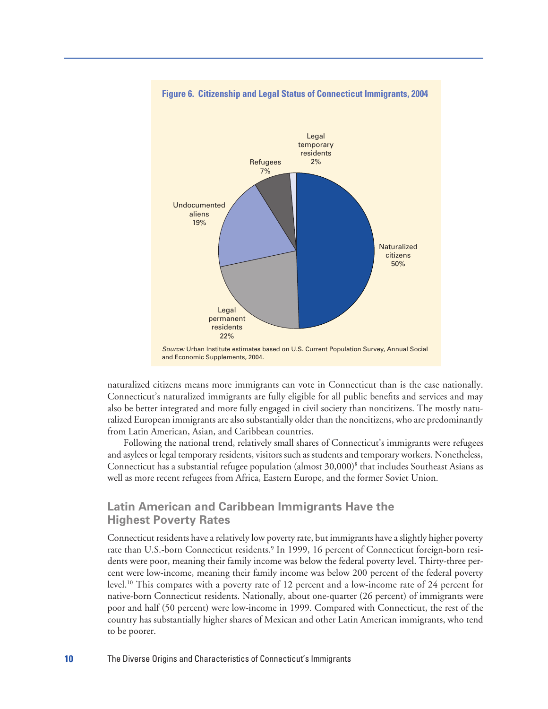

#### **Figure 6. Citizenship and Legal Status of Connecticut Immigrants, 2004**

naturalized citizens means more immigrants can vote in Connecticut than is the case nationally. Connecticut's naturalized immigrants are fully eligible for all public benefits and services and may also be better integrated and more fully engaged in civil society than noncitizens. The mostly naturalized European immigrants are also substantially older than the noncitizens, who are predominantly from Latin American, Asian, and Caribbean countries.

Following the national trend, relatively small shares of Connecticut's immigrants were refugees and asylees or legal temporary residents, visitors such as students and temporary workers. Nonetheless, Connecticut has a substantial refugee population (almost  $30,000$ )<sup>8</sup> that includes Southeast Asians as well as more recent refugees from Africa, Eastern Europe, and the former Soviet Union.

#### **Latin American and Caribbean Immigrants Have the Highest Poverty Rates**

Connecticut residents have a relatively low poverty rate, but immigrants have a slightly higher poverty rate than U.S.-born Connecticut residents.<sup>9</sup> In 1999, 16 percent of Connecticut foreign-born residents were poor, meaning their family income was below the federal poverty level. Thirty-three percent were low-income, meaning their family income was below 200 percent of the federal poverty level.10 This compares with a poverty rate of 12 percent and a low-income rate of 24 percent for native-born Connecticut residents. Nationally, about one-quarter (26 percent) of immigrants were poor and half (50 percent) were low-income in 1999. Compared with Connecticut, the rest of the country has substantially higher shares of Mexican and other Latin American immigrants, who tend to be poorer.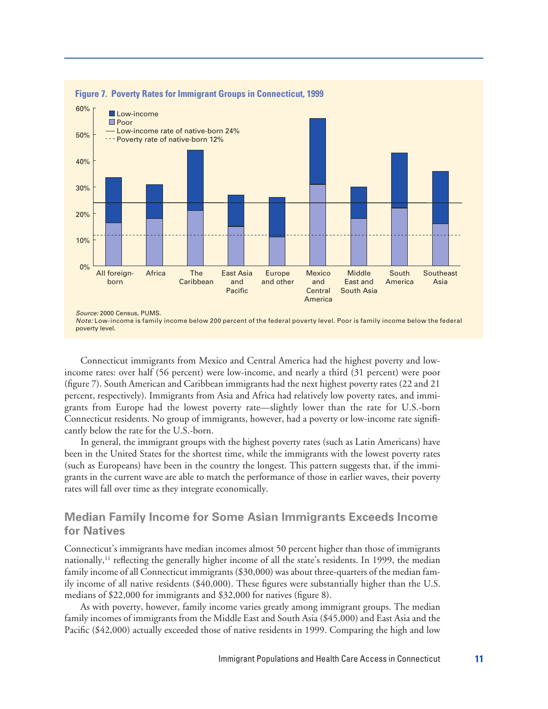

Connecticut immigrants from Mexico and Central America had the highest poverty and lowincome rates: over half (56 percent) were low-income, and nearly a third (31 percent) were poor (figure 7). South American and Caribbean immigrants had the next highest poverty rates (22 and 21 percent, respectively). Immigrants from Asia and Africa had relatively low poverty rates, and immigrants from Europe had the lowest poverty rate—slightly lower than the rate for U.S.-born Connecticut residents. No group of immigrants, however, had a poverty or low-income rate significantly below the rate for the U.S.-born.

In general, the immigrant groups with the highest poverty rates (such as Latin Americans) have been in the United States for the shortest time, while the immigrants with the lowest poverty rates (such as Europeans) have been in the country the longest. This pattern suggests that, if the immigrants in the current wave are able to match the performance of those in earlier waves, their poverty rates will fall over time as they integrate economically.

#### **Median Family Income for Some Asian Immigrants Exceeds Income for Natives**

Connecticut's immigrants have median incomes almost 50 percent higher than those of immigrants nationally,<sup>11</sup> reflecting the generally higher income of all the state's residents. In 1999, the median family income of all Connecticut immigrants (\$30,000) was about three-quarters of the median family income of all native residents (\$40,000). These figures were substantially higher than the U.S. medians of \$22,000 for immigrants and \$32,000 for natives (figure 8).

As with poverty, however, family income varies greatly among immigrant groups. The median family incomes of immigrants from the Middle East and South Asia (\$45,000) and East Asia and the Pacific (\$42,000) actually exceeded those of native residents in 1999. Comparing the high and low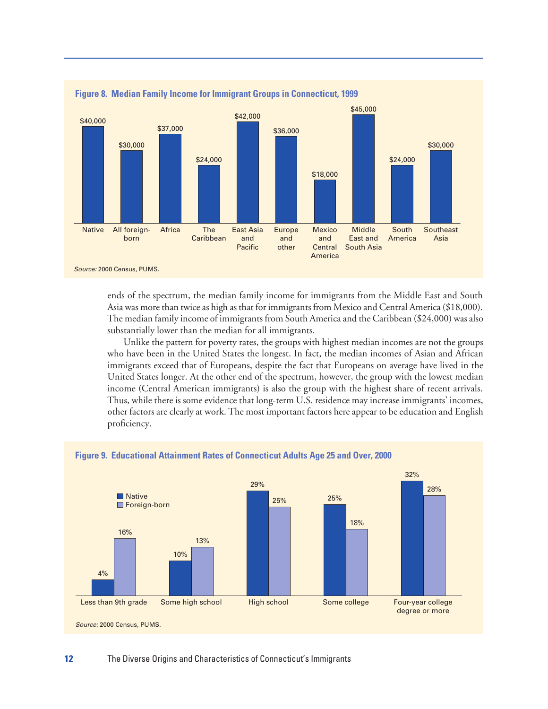

ends of the spectrum, the median family income for immigrants from the Middle East and South Asia was more than twice as high as that for immigrants from Mexico and Central America (\$18,000). The median family income of immigrants from South America and the Caribbean (\$24,000) was also substantially lower than the median for all immigrants.

Unlike the pattern for poverty rates, the groups with highest median incomes are not the groups who have been in the United States the longest. In fact, the median incomes of Asian and African immigrants exceed that of Europeans, despite the fact that Europeans on average have lived in the United States longer. At the other end of the spectrum, however, the group with the lowest median income (Central American immigrants) is also the group with the highest share of recent arrivals. Thus, while there is some evidence that long-term U.S. residence may increase immigrants' incomes, other factors are clearly at work. The most important factors here appear to be education and English proficiency.



#### **Figure 9. Educational Attainment Rates of Connecticut Adults Age 25 and Over, 2000**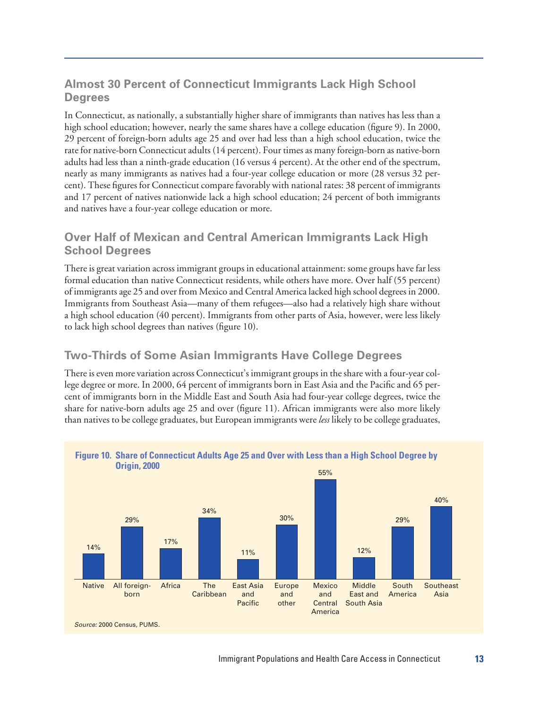#### **Almost 30 Percent of Connecticut Immigrants Lack High School Degrees**

In Connecticut, as nationally, a substantially higher share of immigrants than natives has less than a high school education; however, nearly the same shares have a college education (figure 9). In 2000, 29 percent of foreign-born adults age 25 and over had less than a high school education, twice the rate for native-born Connecticut adults (14 percent). Four times as many foreign-born as native-born adults had less than a ninth-grade education (16 versus 4 percent). At the other end of the spectrum, nearly as many immigrants as natives had a four-year college education or more (28 versus 32 percent). These figures for Connecticut compare favorably with national rates: 38 percent of immigrants and 17 percent of natives nationwide lack a high school education; 24 percent of both immigrants and natives have a four-year college education or more.

#### **Over Half of Mexican and Central American Immigrants Lack High School Degrees**

There is great variation across immigrant groups in educational attainment: some groups have far less formal education than native Connecticut residents, while others have more. Over half (55 percent) of immigrants age 25 and over from Mexico and Central America lacked high school degrees in 2000. Immigrants from Southeast Asia—many of them refugees—also had a relatively high share without a high school education (40 percent). Immigrants from other parts of Asia, however, were less likely to lack high school degrees than natives (figure 10).

#### **Two-Thirds of Some Asian Immigrants Have College Degrees**

There is even more variation across Connecticut's immigrant groups in the share with a four-year college degree or more. In 2000, 64 percent of immigrants born in East Asia and the Pacific and 65 percent of immigrants born in the Middle East and South Asia had four-year college degrees, twice the share for native-born adults age 25 and over (figure 11). African immigrants were also more likely than natives to be college graduates, but European immigrants were *less* likely to be college graduates,

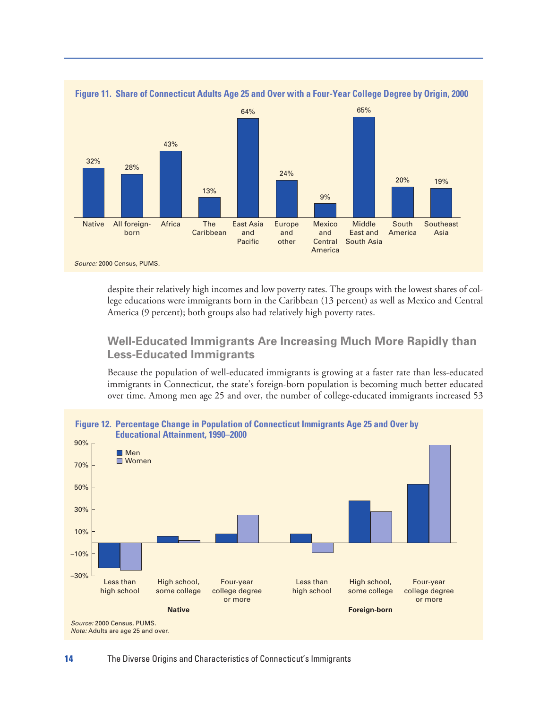

despite their relatively high incomes and low poverty rates. The groups with the lowest shares of college educations were immigrants born in the Caribbean (13 percent) as well as Mexico and Central America (9 percent); both groups also had relatively high poverty rates.

#### **Well-Educated Immigrants Are Increasing Much More Rapidly than Less-Educated Immigrants**

Because the population of well-educated immigrants is growing at a faster rate than less-educated immigrants in Connecticut, the state's foreign-born population is becoming much better educated over time. Among men age 25 and over, the number of college-educated immigrants increased 53

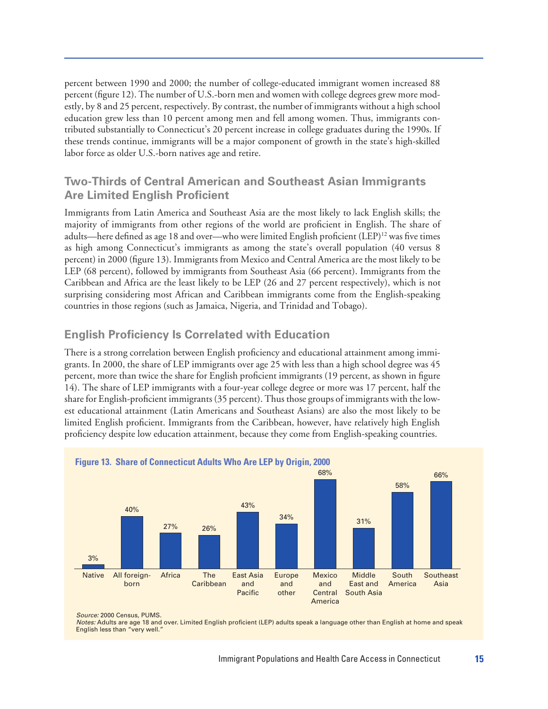percent between 1990 and 2000; the number of college-educated immigrant women increased 88 percent (figure 12). The number of U.S.-born men and women with college degrees grew more modestly, by 8 and 25 percent, respectively. By contrast, the number of immigrants without a high school education grew less than 10 percent among men and fell among women. Thus, immigrants contributed substantially to Connecticut's 20 percent increase in college graduates during the 1990s. If these trends continue, immigrants will be a major component of growth in the state's high-skilled labor force as older U.S.-born natives age and retire.

#### **Two-Thirds of Central American and Southeast Asian Immigrants Are Limited English Proficient**

Immigrants from Latin America and Southeast Asia are the most likely to lack English skills; the majority of immigrants from other regions of the world are proficient in English. The share of adults—here defined as age 18 and over—who were limited English proficient  $(LEP)^{12}$  was five times as high among Connecticut's immigrants as among the state's overall population (40 versus 8 percent) in 2000 (figure 13). Immigrants from Mexico and Central America are the most likely to be LEP (68 percent), followed by immigrants from Southeast Asia (66 percent). Immigrants from the Caribbean and Africa are the least likely to be LEP (26 and 27 percent respectively), which is not surprising considering most African and Caribbean immigrants come from the English-speaking countries in those regions (such as Jamaica, Nigeria, and Trinidad and Tobago).

#### **English Proficiency Is Correlated with Education**

There is a strong correlation between English proficiency and educational attainment among immigrants. In 2000, the share of LEP immigrants over age 25 with less than a high school degree was 45 percent, more than twice the share for English proficient immigrants (19 percent, as shown in figure 14). The share of LEP immigrants with a four-year college degree or more was 17 percent, half the share for English-proficient immigrants (35 percent). Thus those groups of immigrants with the lowest educational attainment (Latin Americans and Southeast Asians) are also the most likely to be limited English proficient. Immigrants from the Caribbean, however, have relatively high English proficiency despite low education attainment, because they come from English-speaking countries.





*Source:* 2000 Census, PUMS.

*Notes:* Adults are age 18 and over. Limited English proficient (LEP) adults speak a language other than English at home and speak English less than "very well."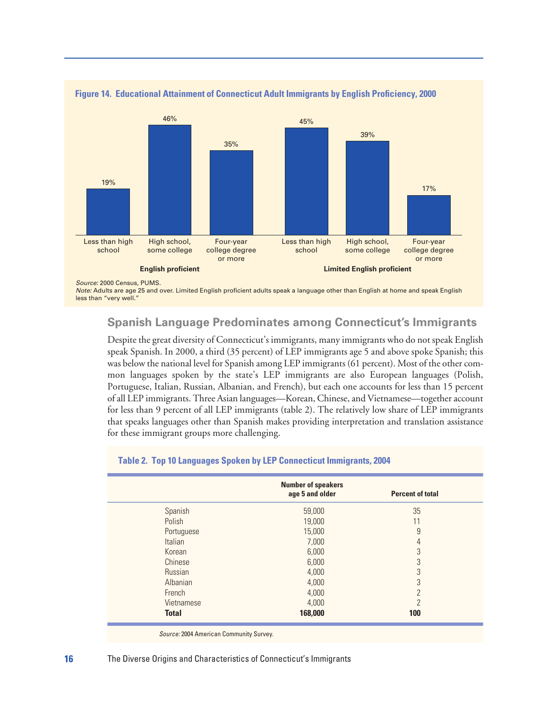



*Note:* Adults are age 25 and over. Limited English proficient adults speak a language other than English at home and speak English less than "very well."

#### **Spanish Language Predominates among Connecticut's Immigrants**

Despite the great diversity of Connecticut's immigrants, many immigrants who do not speak English speak Spanish. In 2000, a third (35 percent) of LEP immigrants age 5 and above spoke Spanish; this was below the national level for Spanish among LEP immigrants (61 percent). Most of the other common languages spoken by the state's LEP immigrants are also European languages (Polish, Portuguese, Italian, Russian, Albanian, and French), but each one accounts for less than 15 percent of all LEP immigrants. Three Asian languages—Korean, Chinese, and Vietnamese—together account for less than 9 percent of all LEP immigrants (table 2). The relatively low share of LEP immigrants that speaks languages other than Spanish makes providing interpretation and translation assistance for these immigrant groups more challenging.

|                | <b>Number of speakers</b><br>age 5 and older | <b>Percent of total</b> |
|----------------|----------------------------------------------|-------------------------|
| Spanish        | 59,000                                       | 35                      |
| Polish         | 19,000                                       | 11                      |
| Portuguese     | 15,000                                       | 9                       |
| <b>Italian</b> | 7,000                                        | 4                       |
| Korean         | 6,000                                        | 3                       |
| Chinese        | 6,000                                        | 3                       |
| Russian        | 4,000                                        | 3                       |
| Albanian       | 4,000                                        | 3                       |
| French         | 4,000                                        | 2                       |
| Vietnamese     | 4,000                                        | 2                       |
| <b>Total</b>   | 168,000                                      | 100                     |

#### **Table 2. Top 10 Languages Spoken by LEP Connecticut Immigrants, 2004**

*Source:* 2004 American Community Survey.

#### **16** The Diverse Origins and Characteristics of Connecticut's Immigrants

*Source:* 2000 Census, PUMS.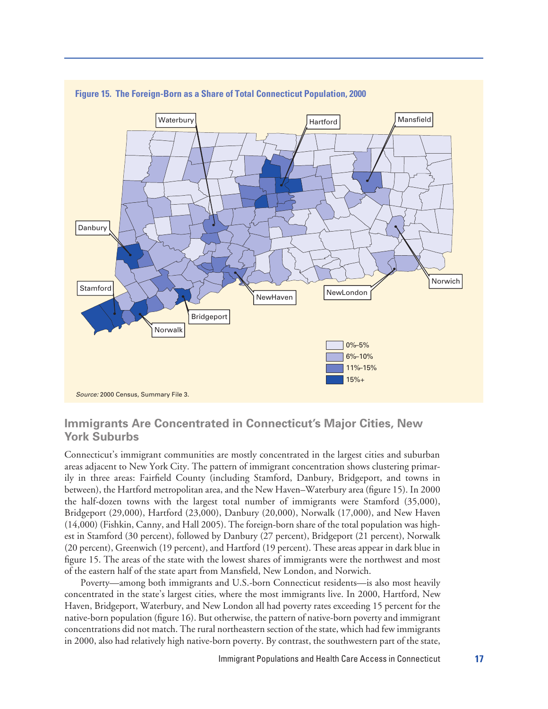

#### **Figure 15. The Foreign-Born as a Share of Total Connecticut Population, 2000**

#### **Immigrants Are Concentrated in Connecticut's Major Cities, New York Suburbs**

Connecticut's immigrant communities are mostly concentrated in the largest cities and suburban areas adjacent to New York City. The pattern of immigrant concentration shows clustering primarily in three areas: Fairfield County (including Stamford, Danbury, Bridgeport, and towns in between), the Hartford metropolitan area, and the New Haven–Waterbury area (figure 15). In 2000 the half-dozen towns with the largest total number of immigrants were Stamford (35,000), Bridgeport (29,000), Hartford (23,000), Danbury (20,000), Norwalk (17,000), and New Haven (14,000) (Fishkin, Canny, and Hall 2005). The foreign-born share of the total population was highest in Stamford (30 percent), followed by Danbury (27 percent), Bridgeport (21 percent), Norwalk (20 percent), Greenwich (19 percent), and Hartford (19 percent). These areas appear in dark blue in figure 15. The areas of the state with the lowest shares of immigrants were the northwest and most of the eastern half of the state apart from Mansfield, New London, and Norwich.

Poverty—among both immigrants and U.S.-born Connecticut residents—is also most heavily concentrated in the state's largest cities, where the most immigrants live. In 2000, Hartford, New Haven, Bridgeport, Waterbury, and New London all had poverty rates exceeding 15 percent for the native-born population (figure 16). But otherwise, the pattern of native-born poverty and immigrant concentrations did not match. The rural northeastern section of the state, which had few immigrants in 2000, also had relatively high native-born poverty. By contrast, the southwestern part of the state,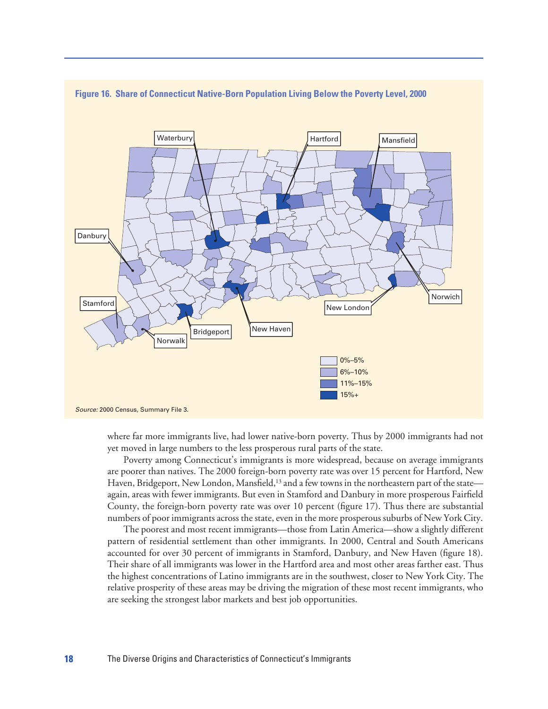

#### **Figure 16. Share of Connecticut Native-Born Population Living Below the Poverty Level, 2000**

where far more immigrants live, had lower native-born poverty. Thus by 2000 immigrants had not yet moved in large numbers to the less prosperous rural parts of the state.

Poverty among Connecticut's immigrants is more widespread, because on average immigrants are poorer than natives. The 2000 foreign-born poverty rate was over 15 percent for Hartford, New Haven, Bridgeport, New London, Mansfield,<sup>13</sup> and a few towns in the northeastern part of the state again, areas with fewer immigrants. But even in Stamford and Danbury in more prosperous Fairfield County, the foreign-born poverty rate was over 10 percent (figure 17). Thus there are substantial numbers of poor immigrants across the state, even in the more prosperous suburbs of New York City.

The poorest and most recent immigrants—those from Latin America—show a slightly different pattern of residential settlement than other immigrants. In 2000, Central and South Americans accounted for over 30 percent of immigrants in Stamford, Danbury, and New Haven (figure 18). Their share of all immigrants was lower in the Hartford area and most other areas farther east. Thus the highest concentrations of Latino immigrants are in the southwest, closer to New York City. The relative prosperity of these areas may be driving the migration of these most recent immigrants, who are seeking the strongest labor markets and best job opportunities.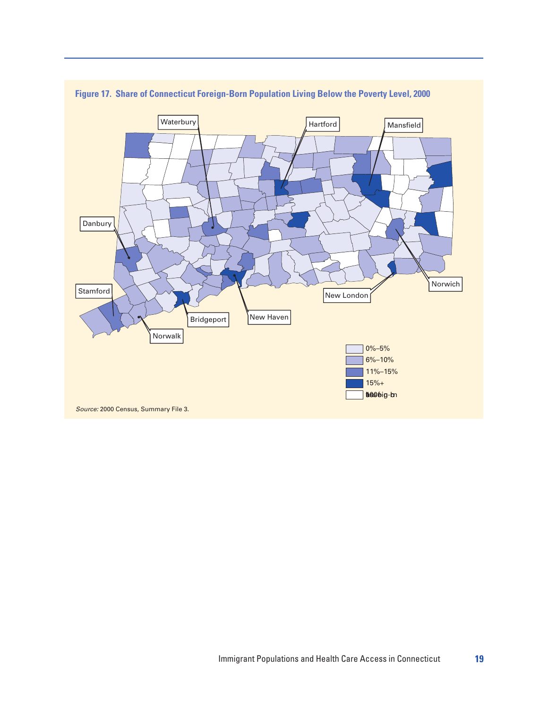

**Figure 17. Share of Connecticut Foreign-Born Population Living Below the Poverty Level, 2000**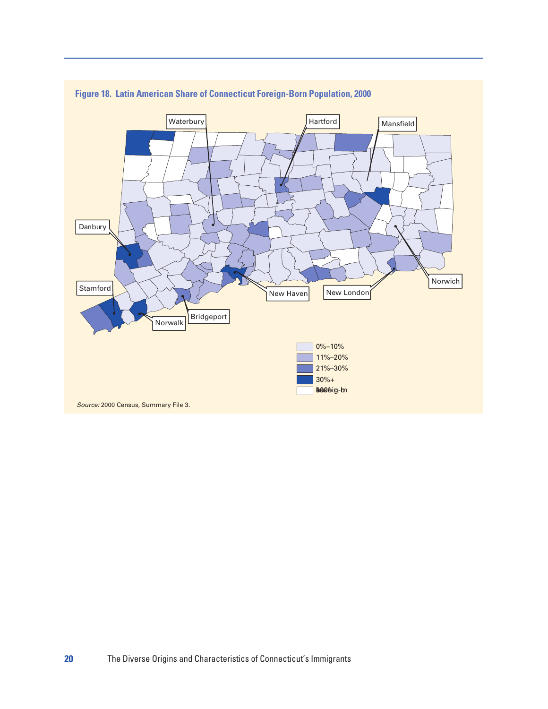



*Source:* 2000 Census, Summary File 3.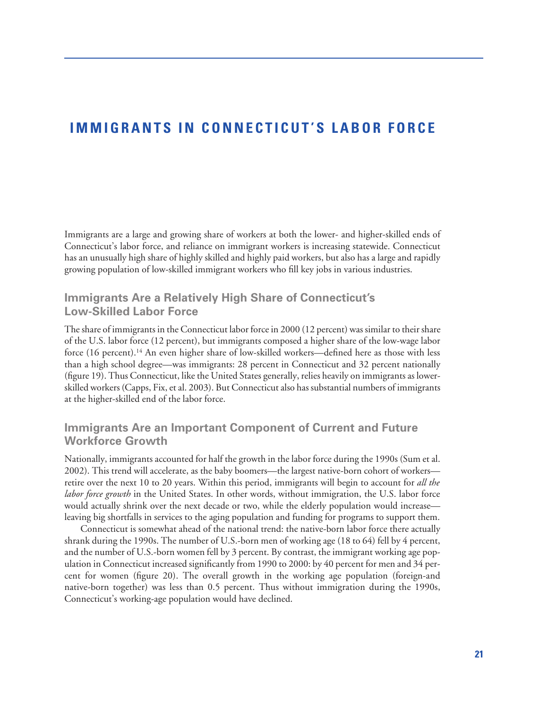### **IMMIGRANTS IN CONNECTICUT'S LABOR FORCE**

Immigrants are a large and growing share of workers at both the lower- and higher-skilled ends of Connecticut's labor force, and reliance on immigrant workers is increasing statewide. Connecticut has an unusually high share of highly skilled and highly paid workers, but also has a large and rapidly growing population of low-skilled immigrant workers who fill key jobs in various industries.

#### **Immigrants Are a Relatively High Share of Connecticut's Low-Skilled Labor Force**

The share of immigrants in the Connecticut labor force in 2000 (12 percent) was similar to their share of the U.S. labor force (12 percent), but immigrants composed a higher share of the low-wage labor force (16 percent).14 An even higher share of low-skilled workers—defined here as those with less than a high school degree—was immigrants: 28 percent in Connecticut and 32 percent nationally (figure 19). Thus Connecticut, like the United States generally, relies heavily on immigrants as lowerskilled workers (Capps, Fix, et al. 2003). But Connecticut also has substantial numbers of immigrants at the higher-skilled end of the labor force.

#### **Immigrants Are an Important Component of Current and Future Workforce Growth**

Nationally, immigrants accounted for half the growth in the labor force during the 1990s (Sum et al. 2002). This trend will accelerate, as the baby boomers—the largest native-born cohort of workers retire over the next 10 to 20 years. Within this period, immigrants will begin to account for *all the labor force growth* in the United States. In other words, without immigration, the U.S. labor force would actually shrink over the next decade or two, while the elderly population would increase leaving big shortfalls in services to the aging population and funding for programs to support them.

Connecticut is somewhat ahead of the national trend: the native-born labor force there actually shrank during the 1990s. The number of U.S.-born men of working age (18 to 64) fell by 4 percent, and the number of U.S.-born women fell by 3 percent. By contrast, the immigrant working age population in Connecticut increased significantly from 1990 to 2000: by 40 percent for men and 34 percent for women (figure 20). The overall growth in the working age population (foreign-and native-born together) was less than 0.5 percent. Thus without immigration during the 1990s, Connecticut's working-age population would have declined.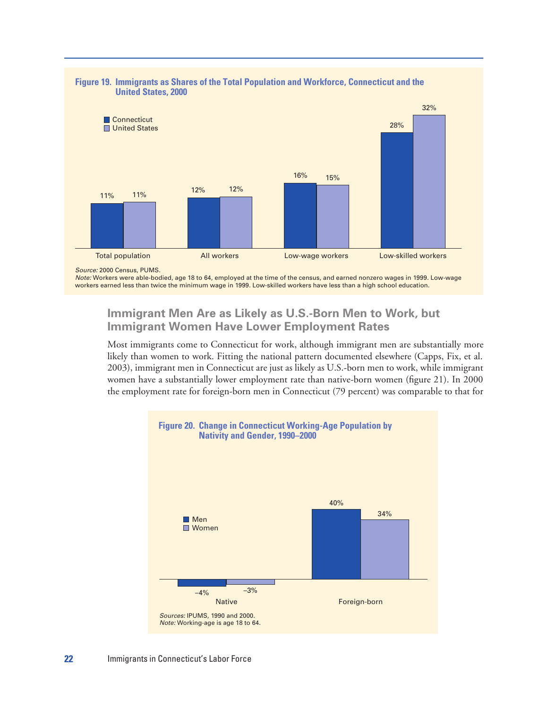

#### **Figure 19. Immigrants as Shares of the Total Population and Workforce, Connecticut and the United States, 2000**

*Note:* Workers were able-bodied, age 18 to 64, employed at the time of the census, and earned nonzero wages in 1999. Low-wage workers earned less than twice the minimum wage in 1999. Low-skilled workers have less than a high school education.

#### **Immigrant Men Are as Likely as U.S.-Born Men to Work, but Immigrant Women Have Lower Employment Rates**

Most immigrants come to Connecticut for work, although immigrant men are substantially more likely than women to work. Fitting the national pattern documented elsewhere (Capps, Fix, et al. 2003), immigrant men in Connecticut are just as likely as U.S.-born men to work, while immigrant women have a substantially lower employment rate than native-born women (figure 21). In 2000 the employment rate for foreign-born men in Connecticut (79 percent) was comparable to that for



*Source:* 2000 Census, PUMS.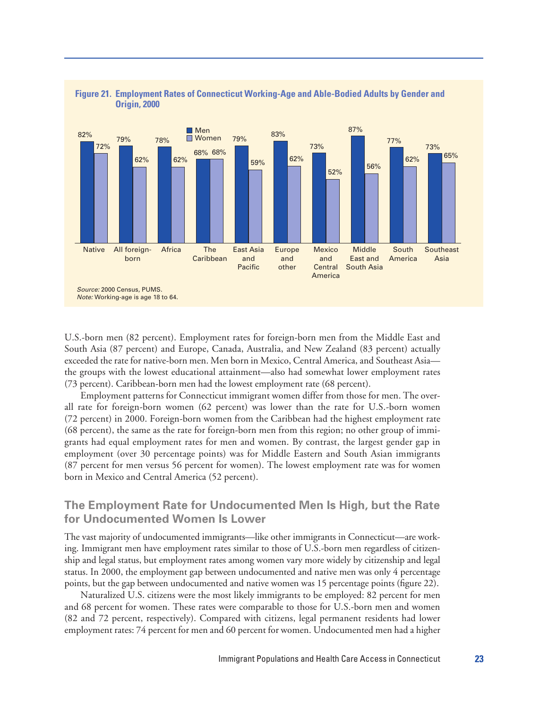

#### **Figure 21. Employment Rates of Connecticut Working-Age and Able-Bodied Adults by Gender and Origin, 2000**

U.S.-born men (82 percent). Employment rates for foreign-born men from the Middle East and South Asia (87 percent) and Europe, Canada, Australia, and New Zealand (83 percent) actually exceeded the rate for native-born men. Men born in Mexico, Central America, and Southeast Asia the groups with the lowest educational attainment—also had somewhat lower employment rates (73 percent). Caribbean-born men had the lowest employment rate (68 percent).

Employment patterns for Connecticut immigrant women differ from those for men. The overall rate for foreign-born women (62 percent) was lower than the rate for U.S.-born women (72 percent) in 2000. Foreign-born women from the Caribbean had the highest employment rate (68 percent), the same as the rate for foreign-born men from this region; no other group of immigrants had equal employment rates for men and women. By contrast, the largest gender gap in employment (over 30 percentage points) was for Middle Eastern and South Asian immigrants (87 percent for men versus 56 percent for women). The lowest employment rate was for women born in Mexico and Central America (52 percent).

#### **The Employment Rate for Undocumented Men Is High, but the Rate for Undocumented Women Is Lower**

The vast majority of undocumented immigrants—like other immigrants in Connecticut—are working. Immigrant men have employment rates similar to those of U.S.-born men regardless of citizenship and legal status, but employment rates among women vary more widely by citizenship and legal status. In 2000, the employment gap between undocumented and native men was only 4 percentage points, but the gap between undocumented and native women was 15 percentage points (figure 22).

Naturalized U.S. citizens were the most likely immigrants to be employed: 82 percent for men and 68 percent for women. These rates were comparable to those for U.S.-born men and women (82 and 72 percent, respectively). Compared with citizens, legal permanent residents had lower employment rates: 74 percent for men and 60 percent for women. Undocumented men had a higher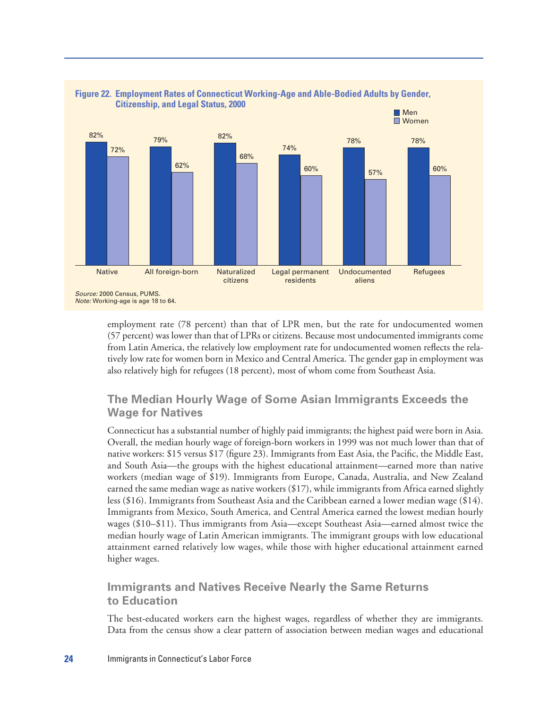

employment rate (78 percent) than that of LPR men, but the rate for undocumented women (57 percent) was lower than that of LPRs or citizens. Because most undocumented immigrants come from Latin America, the relatively low employment rate for undocumented women reflects the relatively low rate for women born in Mexico and Central America. The gender gap in employment was also relatively high for refugees (18 percent), most of whom come from Southeast Asia.

#### **The Median Hourly Wage of Some Asian Immigrants Exceeds the Wage for Natives**

Connecticut has a substantial number of highly paid immigrants; the highest paid were born in Asia. Overall, the median hourly wage of foreign-born workers in 1999 was not much lower than that of native workers: \$15 versus \$17 (figure 23). Immigrants from East Asia, the Pacific, the Middle East, and South Asia—the groups with the highest educational attainment—earned more than native workers (median wage of \$19). Immigrants from Europe, Canada, Australia, and New Zealand earned the same median wage as native workers (\$17), while immigrants from Africa earned slightly less (\$16). Immigrants from Southeast Asia and the Caribbean earned a lower median wage (\$14). Immigrants from Mexico, South America, and Central America earned the lowest median hourly wages (\$10–\$11). Thus immigrants from Asia—except Southeast Asia—earned almost twice the median hourly wage of Latin American immigrants. The immigrant groups with low educational attainment earned relatively low wages, while those with higher educational attainment earned higher wages.

#### **Immigrants and Natives Receive Nearly the Same Returns to Education**

The best-educated workers earn the highest wages, regardless of whether they are immigrants. Data from the census show a clear pattern of association between median wages and educational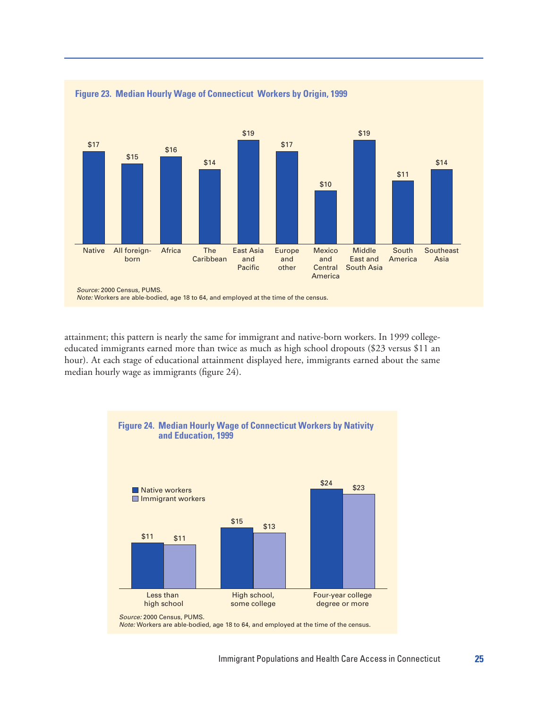

attainment; this pattern is nearly the same for immigrant and native-born workers. In 1999 collegeeducated immigrants earned more than twice as much as high school dropouts (\$23 versus \$11 an hour). At each stage of educational attainment displayed here, immigrants earned about the same median hourly wage as immigrants (figure 24).

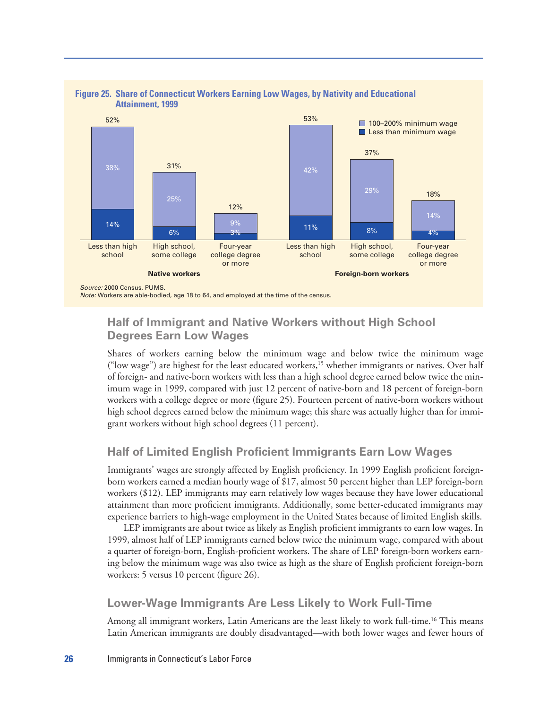

# **Figure 25. Share of Connecticut Workers Earning Low Wages, by Nativity and Educational**

#### **Half of Immigrant and Native Workers without High School Degrees Earn Low Wages**

Shares of workers earning below the minimum wage and below twice the minimum wage ("low wage") are highest for the least educated workers,15 whether immigrants or natives. Over half of foreign- and native-born workers with less than a high school degree earned below twice the minimum wage in 1999, compared with just 12 percent of native-born and 18 percent of foreign-born workers with a college degree or more (figure 25). Fourteen percent of native-born workers without high school degrees earned below the minimum wage; this share was actually higher than for immigrant workers without high school degrees (11 percent).

#### **Half of Limited English Proficient Immigrants Earn Low Wages**

Immigrants' wages are strongly affected by English proficiency. In 1999 English proficient foreignborn workers earned a median hourly wage of \$17, almost 50 percent higher than LEP foreign-born workers (\$12). LEP immigrants may earn relatively low wages because they have lower educational attainment than more proficient immigrants. Additionally, some better-educated immigrants may experience barriers to high-wage employment in the United States because of limited English skills.

LEP immigrants are about twice as likely as English proficient immigrants to earn low wages. In 1999, almost half of LEP immigrants earned below twice the minimum wage, compared with about a quarter of foreign-born, English-proficient workers. The share of LEP foreign-born workers earning below the minimum wage was also twice as high as the share of English proficient foreign-born workers: 5 versus 10 percent (figure 26).

#### **Lower-Wage Immigrants Are Less Likely to Work Full-Time**

Among all immigrant workers, Latin Americans are the least likely to work full-time.<sup>16</sup> This means Latin American immigrants are doubly disadvantaged—with both lower wages and fewer hours of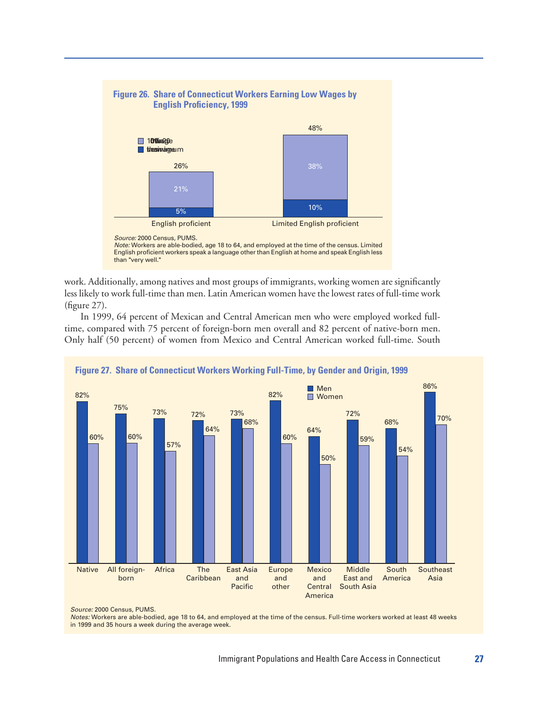

**Figure 26. Share of Connecticut Workers Earning Low Wages by**

*Source:* 2000 Census, PUMS. *Note:* Workers are able-bodied, age 18 to 64, and employed at the time of the census. Limited

English proficient workers speak a language other than English at home and speak English less than "very well."

work. Additionally, among natives and most groups of immigrants, working women are significantly less likely to work full-time than men. Latin American women have the lowest rates of full-time work (figure 27).

In 1999, 64 percent of Mexican and Central American men who were employed worked fulltime, compared with 75 percent of foreign-born men overall and 82 percent of native-born men. Only half (50 percent) of women from Mexico and Central American worked full-time. South





*Source:* 2000 Census, PUMS.

*Notes:* Workers are able-bodied, age 18 to 64, and employed at the time of the census. Full-time workers worked at least 48 weeks in 1999 and 35 hours a week during the average week.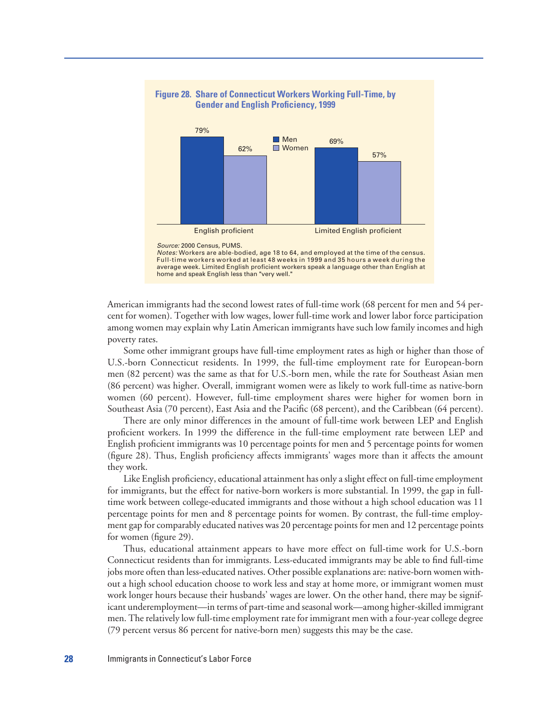

# **Figure 28. Share of Connecticut Workers Working Full-Time, by**

American immigrants had the second lowest rates of full-time work (68 percent for men and 54 percent for women). Together with low wages, lower full-time work and lower labor force participation among women may explain why Latin American immigrants have such low family incomes and high poverty rates.

average week. Limited English proficient workers speak a language other than English at

home and speak English less than "very well."

Some other immigrant groups have full-time employment rates as high or higher than those of U.S.-born Connecticut residents. In 1999, the full-time employment rate for European-born men (82 percent) was the same as that for U.S.-born men, while the rate for Southeast Asian men (86 percent) was higher. Overall, immigrant women were as likely to work full-time as native-born women (60 percent). However, full-time employment shares were higher for women born in Southeast Asia (70 percent), East Asia and the Pacific (68 percent), and the Caribbean (64 percent).

There are only minor differences in the amount of full-time work between LEP and English proficient workers. In 1999 the difference in the full-time employment rate between LEP and English proficient immigrants was 10 percentage points for men and 5 percentage points for women (figure 28). Thus, English proficiency affects immigrants' wages more than it affects the amount they work.

Like English proficiency, educational attainment has only a slight effect on full-time employment for immigrants, but the effect for native-born workers is more substantial. In 1999, the gap in fulltime work between college-educated immigrants and those without a high school education was 11 percentage points for men and 8 percentage points for women. By contrast, the full-time employment gap for comparably educated natives was 20 percentage points for men and 12 percentage points for women (figure 29).

Thus, educational attainment appears to have more effect on full-time work for U.S.-born Connecticut residents than for immigrants. Less-educated immigrants may be able to find full-time jobs more often than less-educated natives. Other possible explanations are: native-born women without a high school education choose to work less and stay at home more, or immigrant women must work longer hours because their husbands' wages are lower. On the other hand, there may be significant underemployment—in terms of part-time and seasonal work—among higher-skilled immigrant men. The relatively low full-time employment rate for immigrant men with a four-year college degree (79 percent versus 86 percent for native-born men) suggests this may be the case.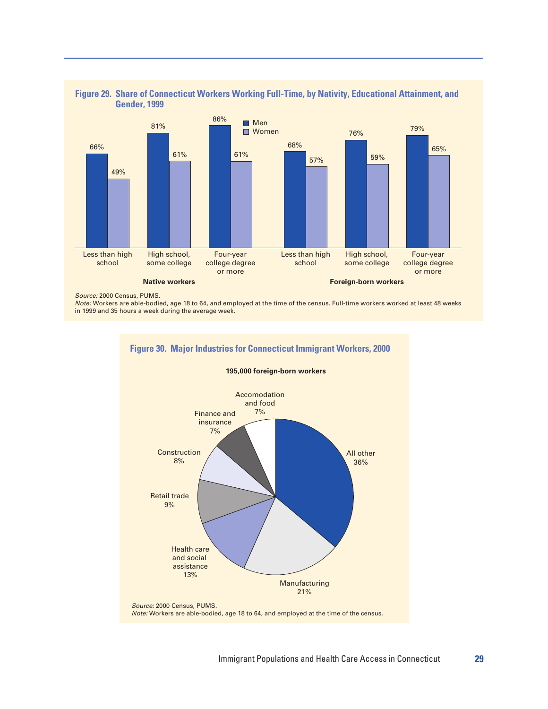

# **Figure 29. Share of Connecticut Workers Working Full-Time, by Nativity, Educational Attainment, and**

*Source:* 2000 Census, PUMS.

*Note:* Workers are able-bodied, age 18 to 64, and employed at the time of the census. Full-time workers worked at least 48 weeks in 1999 and 35 hours a week during the average week.

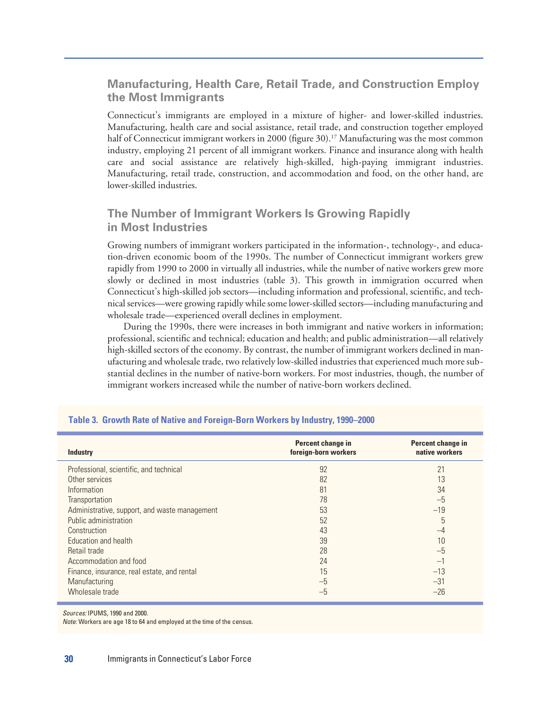#### **Manufacturing, Health Care, Retail Trade, and Construction Employ the Most Immigrants**

Connecticut's immigrants are employed in a mixture of higher- and lower-skilled industries. Manufacturing, health care and social assistance, retail trade, and construction together employed half of Connecticut immigrant workers in 2000 (figure 30).<sup>17</sup> Manufacturing was the most common industry, employing 21 percent of all immigrant workers. Finance and insurance along with health care and social assistance are relatively high-skilled, high-paying immigrant industries. Manufacturing, retail trade, construction, and accommodation and food, on the other hand, are lower-skilled industries.

#### **The Number of Immigrant Workers Is Growing Rapidly in Most Industries**

Growing numbers of immigrant workers participated in the information-, technology-, and education-driven economic boom of the 1990s. The number of Connecticut immigrant workers grew rapidly from 1990 to 2000 in virtually all industries, while the number of native workers grew more slowly or declined in most industries (table 3). This growth in immigration occurred when Connecticut's high-skilled job sectors—including information and professional, scientific, and technical services—were growing rapidly while some lower-skilled sectors—including manufacturing and wholesale trade—experienced overall declines in employment.

During the 1990s, there were increases in both immigrant and native workers in information; professional, scientific and technical; education and health; and public administration—all relatively high-skilled sectors of the economy. By contrast, the number of immigrant workers declined in manufacturing and wholesale trade, two relatively low-skilled industries that experienced much more substantial declines in the number of native-born workers. For most industries, though, the number of immigrant workers increased while the number of native-born workers declined.

| <b>Industry</b>                               | Percent change in<br>foreign-born workers | Percent change in<br>native workers |
|-----------------------------------------------|-------------------------------------------|-------------------------------------|
| Professional, scientific, and technical       | 92                                        | 21                                  |
| Other services                                | 82                                        | 13                                  |
| Information                                   | 81                                        | 34                                  |
| Transportation                                | 78                                        | $-5$                                |
| Administrative, support, and waste management | 53                                        | $-19$                               |
| Public administration                         | 52                                        | 5                                   |
| Construction                                  | 43                                        | $-4$                                |
| Education and health                          | 39                                        | 10                                  |
| Retail trade                                  | 28                                        | $-5$                                |
| Accommodation and food                        | 24                                        | $-1$                                |
| Finance, insurance, real estate, and rental   | 15                                        | $-13$                               |
| Manufacturing                                 | $-5$                                      | $-31$                               |
| Wholesale trade                               | $-5$                                      | $-26$                               |

#### **Table 3. Growth Rate of Native and Foreign-Born Workers by Industry, 1990–2000**

*Sources:* IPUMS, 1990 and 2000.

*Note:* Workers are age 18 to 64 and employed at the time of the census.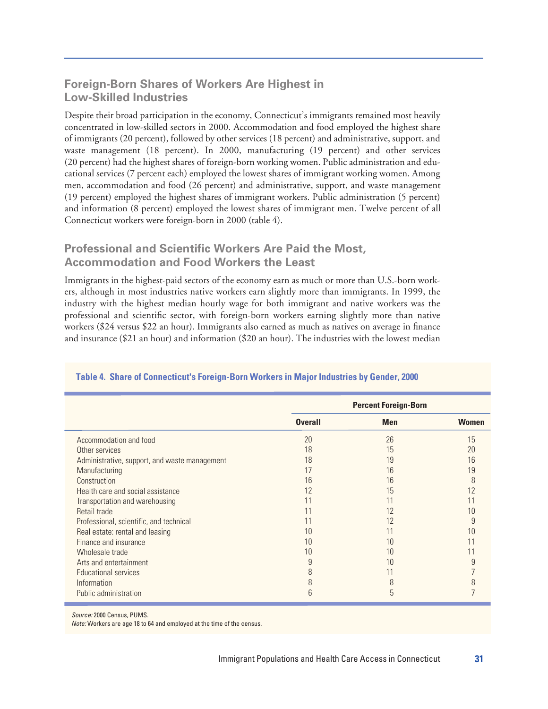#### **Foreign-Born Shares of Workers Are Highest in Low-Skilled Industries**

Despite their broad participation in the economy, Connecticut's immigrants remained most heavily concentrated in low-skilled sectors in 2000. Accommodation and food employed the highest share of immigrants (20 percent), followed by other services (18 percent) and administrative, support, and waste management (18 percent). In 2000, manufacturing (19 percent) and other services (20 percent) had the highest shares of foreign-born working women. Public administration and educational services (7 percent each) employed the lowest shares of immigrant working women. Among men, accommodation and food (26 percent) and administrative, support, and waste management (19 percent) employed the highest shares of immigrant workers. Public administration (5 percent) and information (8 percent) employed the lowest shares of immigrant men. Twelve percent of all Connecticut workers were foreign-born in 2000 (table 4).

#### **Professional and Scientific Workers Are Paid the Most, Accommodation and Food Workers the Least**

Immigrants in the highest-paid sectors of the economy earn as much or more than U.S.-born workers, although in most industries native workers earn slightly more than immigrants. In 1999, the industry with the highest median hourly wage for both immigrant and native workers was the professional and scientific sector, with foreign-born workers earning slightly more than native workers (\$24 versus \$22 an hour). Immigrants also earned as much as natives on average in finance and insurance (\$21 an hour) and information (\$20 an hour). The industries with the lowest median

|                                               |                | <b>Percent Foreign-Born</b> |              |
|-----------------------------------------------|----------------|-----------------------------|--------------|
|                                               | <b>Overall</b> | <b>Men</b>                  | <b>Women</b> |
| Accommodation and food                        | 20             | 26                          | 15           |
| Other services                                | 18             | 15                          | 20           |
| Administrative, support, and waste management | 18             | 19                          | 16           |
| Manufacturing                                 | 17             | 16                          | 19           |
| Construction                                  | 16             | 16                          | 8            |
| Health care and social assistance             | 12             | 15                          | 12           |
| Transportation and warehousing                | 11             | 11                          |              |
| Retail trade                                  | 11             | 12                          | 10           |
| Professional, scientific, and technical       | 11             | 12                          | 9            |
| Real estate: rental and leasing               | 10             |                             | 10           |
| Finance and insurance                         | 10             | 10                          |              |
| Wholesale trade                               | 10             | 10                          |              |
| Arts and entertainment                        | 9              | 10                          |              |
| Educational services                          | 8              |                             |              |
| Information                                   | 8              | 8                           |              |
| Public administration                         | 6              | 5                           |              |

#### **Table 4. Share of Connecticut's Foreign-Born Workers in Major Industries by Gender, 2000**

*Source:* 2000 Census, PUMS.

*Note:* Workers are age 18 to 64 and employed at the time of the census.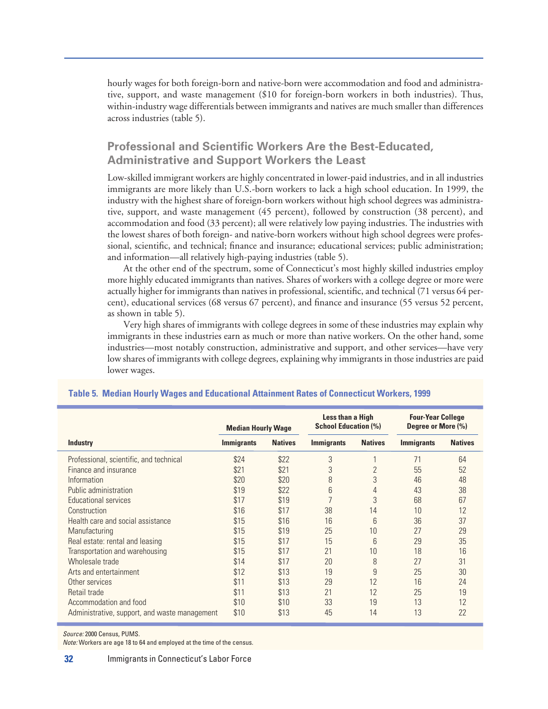hourly wages for both foreign-born and native-born were accommodation and food and administrative, support, and waste management (\$10 for foreign-born workers in both industries). Thus, within-industry wage differentials between immigrants and natives are much smaller than differences across industries (table 5).

#### **Professional and Scientific Workers Are the Best-Educated, Administrative and Support Workers the Least**

Low-skilled immigrant workers are highly concentrated in lower-paid industries, and in all industries immigrants are more likely than U.S.-born workers to lack a high school education. In 1999, the industry with the highest share of foreign-born workers without high school degrees was administrative, support, and waste management (45 percent), followed by construction (38 percent), and accommodation and food (33 percent); all were relatively low paying industries. The industries with the lowest shares of both foreign- and native-born workers without high school degrees were professional, scientific, and technical; finance and insurance; educational services; public administration; and information—all relatively high-paying industries (table 5).

At the other end of the spectrum, some of Connecticut's most highly skilled industries employ more highly educated immigrants than natives. Shares of workers with a college degree or more were actually higher for immigrants than natives in professional, scientific, and technical (71 versus 64 percent), educational services (68 versus 67 percent), and finance and insurance (55 versus 52 percent, as shown in table 5).

Very high shares of immigrants with college degrees in some of these industries may explain why immigrants in these industries earn as much or more than native workers. On the other hand, some industries—most notably construction, administrative and support, and other services—have very low shares of immigrants with college degrees, explaining why immigrants in those industries are paid lower wages.

|                                               | <b>Median Hourly Wage</b> |                | Less than a High<br><b>School Education (%)</b> |                 | <b>Four-Year College</b><br>Degree or More (%) |                |
|-----------------------------------------------|---------------------------|----------------|-------------------------------------------------|-----------------|------------------------------------------------|----------------|
| <b>Industry</b>                               | <b>Immigrants</b>         | <b>Natives</b> | <b>Immigrants</b>                               | <b>Natives</b>  | <b>Immigrants</b>                              | <b>Natives</b> |
| Professional, scientific, and technical       | \$24                      | \$22           | 3                                               |                 | 71                                             | 64             |
| Finance and insurance                         | \$21                      | \$21           | 3                                               | $\overline{2}$  | 55                                             | 52             |
| Information                                   | \$20                      | \$20           | 8                                               | 3               | 46                                             | 48             |
| Public administration                         | \$19                      | \$22           | 6                                               | 4               | 43                                             | 38             |
| Educational services                          | \$17                      | \$19           | $\overline{7}$                                  | 3               | 68                                             | 67             |
| Construction                                  | \$16                      | \$17           | 38                                              | 14              | 10                                             | 12             |
| Health care and social assistance             | \$15                      | \$16           | 16                                              | $6\overline{6}$ | 36                                             | 37             |
| Manufacturing                                 | \$15                      | \$19           | 25                                              | 10              | 27                                             | 29             |
| Real estate: rental and leasing               | \$15                      | \$17           | 15                                              | 6               | 29                                             | 35             |
| Transportation and warehousing                | \$15                      | \$17           | 21                                              | 10              | 18                                             | 16             |
| Wholesale trade                               | \$14                      | \$17           | 20                                              | 8               | 27                                             | 31             |
| Arts and entertainment                        | \$12                      | \$13           | 19                                              | 9               | 25                                             | 30             |
| Other services                                | \$11                      | \$13           | 29                                              | 12              | 16                                             | 24             |
| Retail trade                                  | \$11                      | \$13           | 21                                              | 12              | 25                                             | 19             |
| Accommodation and food                        | \$10                      | \$10           | 33                                              | 19              | 13                                             | 12             |
| Administrative, support, and waste management | \$10                      | \$13           | 45                                              | 14              | 13                                             | 22             |

#### **Table 5. Median Hourly Wages and Educational Attainment Rates of Connecticut Workers, 1999**

*Source:* 2000 Census, PUMS.

*Note:* Workers are age 18 to 64 and employed at the time of the census.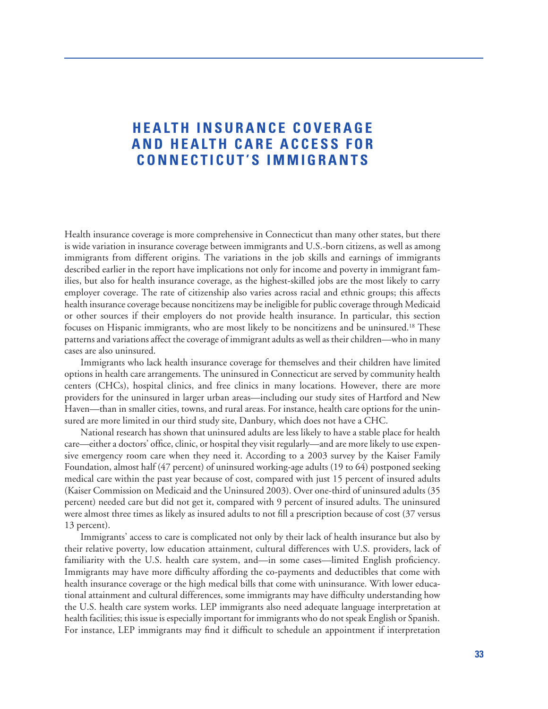## **HEALTH INSURANCE COVERAGE AND HEALTH CARE ACCESS FOR CONNECTICUT'S IMMIGRANTS**

Health insurance coverage is more comprehensive in Connecticut than many other states, but there is wide variation in insurance coverage between immigrants and U.S.-born citizens, as well as among immigrants from different origins. The variations in the job skills and earnings of immigrants described earlier in the report have implications not only for income and poverty in immigrant families, but also for health insurance coverage, as the highest-skilled jobs are the most likely to carry employer coverage. The rate of citizenship also varies across racial and ethnic groups; this affects health insurance coverage because noncitizens may be ineligible for public coverage through Medicaid or other sources if their employers do not provide health insurance. In particular, this section focuses on Hispanic immigrants, who are most likely to be noncitizens and be uninsured.18 These patterns and variations affect the coverage of immigrant adults as well as their children—who in many cases are also uninsured.

Immigrants who lack health insurance coverage for themselves and their children have limited options in health care arrangements. The uninsured in Connecticut are served by community health centers (CHCs), hospital clinics, and free clinics in many locations. However, there are more providers for the uninsured in larger urban areas—including our study sites of Hartford and New Haven—than in smaller cities, towns, and rural areas. For instance, health care options for the uninsured are more limited in our third study site, Danbury, which does not have a CHC.

National research has shown that uninsured adults are less likely to have a stable place for health care—either a doctors' office, clinic, or hospital they visit regularly—and are more likely to use expensive emergency room care when they need it. According to a 2003 survey by the Kaiser Family Foundation, almost half (47 percent) of uninsured working-age adults (19 to 64) postponed seeking medical care within the past year because of cost, compared with just 15 percent of insured adults (Kaiser Commission on Medicaid and the Uninsured 2003). Over one-third of uninsured adults (35 percent) needed care but did not get it, compared with 9 percent of insured adults. The uninsured were almost three times as likely as insured adults to not fill a prescription because of cost (37 versus 13 percent).

Immigrants' access to care is complicated not only by their lack of health insurance but also by their relative poverty, low education attainment, cultural differences with U.S. providers, lack of familiarity with the U.S. health care system, and—in some cases—limited English proficiency. Immigrants may have more difficulty affording the co-payments and deductibles that come with health insurance coverage or the high medical bills that come with uninsurance. With lower educational attainment and cultural differences, some immigrants may have difficulty understanding how the U.S. health care system works. LEP immigrants also need adequate language interpretation at health facilities; this issue is especially important for immigrants who do not speak English or Spanish. For instance, LEP immigrants may find it difficult to schedule an appointment if interpretation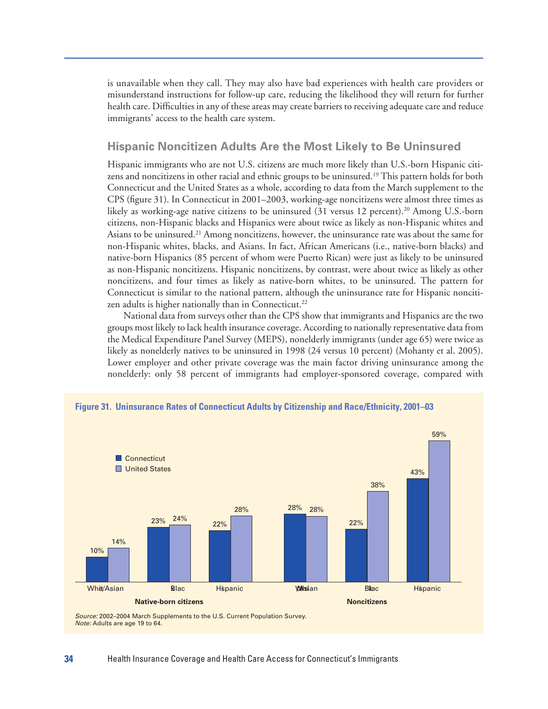is unavailable when they call. They may also have bad experiences with health care providers or misunderstand instructions for follow-up care, reducing the likelihood they will return for further health care. Difficulties in any of these areas may create barriers to receiving adequate care and reduce immigrants' access to the health care system.

#### **Hispanic Noncitizen Adults Are the Most Likely to Be Uninsured**

Hispanic immigrants who are not U.S. citizens are much more likely than U.S.-born Hispanic citizens and noncitizens in other racial and ethnic groups to be uninsured.19 This pattern holds for both Connecticut and the United States as a whole, according to data from the March supplement to the CPS (figure 31). In Connecticut in 2001–2003, working-age noncitizens were almost three times as likely as working-age native citizens to be uninsured (31 versus 12 percent).<sup>20</sup> Among U.S.-born citizens, non-Hispanic blacks and Hispanics were about twice as likely as non-Hispanic whites and Asians to be uninsured.21 Among noncitizens, however, the uninsurance rate was about the same for non-Hispanic whites, blacks, and Asians. In fact, African Americans (i.e., native-born blacks) and native-born Hispanics (85 percent of whom were Puerto Rican) were just as likely to be uninsured as non-Hispanic noncitizens. Hispanic noncitizens, by contrast, were about twice as likely as other noncitizens, and four times as likely as native-born whites, to be uninsured. The pattern for Connecticut is similar to the national pattern, although the uninsurance rate for Hispanic noncitizen adults is higher nationally than in Connecticut.<sup>22</sup>

National data from surveys other than the CPS show that immigrants and Hispanics are the two groups most likely to lack health insurance coverage. According to nationally representative data from the Medical Expenditure Panel Survey (MEPS), nonelderly immigrants (under age 65) were twice as likely as nonelderly natives to be uninsured in 1998 (24 versus 10 percent) (Mohanty et al. 2005). Lower employer and other private coverage was the main factor driving uninsurance among the nonelderly: only 58 percent of immigrants had employer-sponsored coverage, compared with

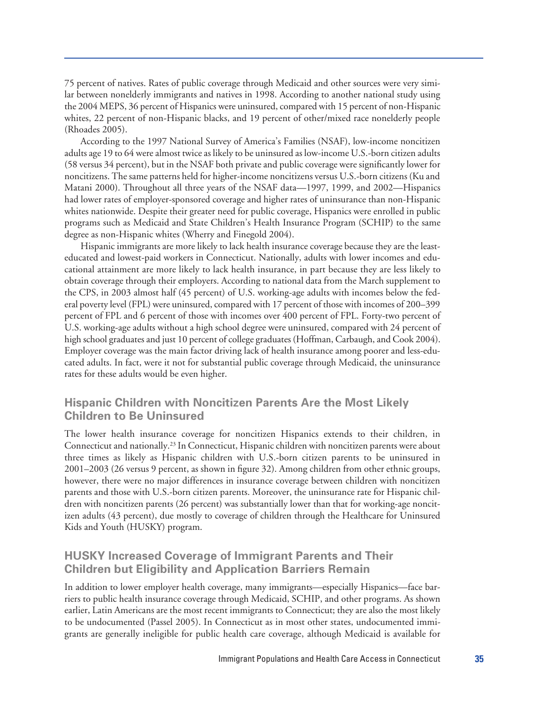75 percent of natives. Rates of public coverage through Medicaid and other sources were very similar between nonelderly immigrants and natives in 1998. According to another national study using the 2004 MEPS, 36 percent of Hispanics were uninsured, compared with 15 percent of non-Hispanic whites, 22 percent of non-Hispanic blacks, and 19 percent of other/mixed race nonelderly people (Rhoades 2005).

According to the 1997 National Survey of America's Families (NSAF), low-income noncitizen adults age 19 to 64 were almost twice as likely to be uninsured as low-income U.S.-born citizen adults (58 versus 34 percent), but in the NSAF both private and public coverage were significantly lower for noncitizens. The same patterns held for higher-income noncitizens versus U.S.-born citizens (Ku and Matani 2000). Throughout all three years of the NSAF data—1997, 1999, and 2002—Hispanics had lower rates of employer-sponsored coverage and higher rates of uninsurance than non-Hispanic whites nationwide. Despite their greater need for public coverage, Hispanics were enrolled in public programs such as Medicaid and State Children's Health Insurance Program (SCHIP) to the same degree as non-Hispanic whites (Wherry and Finegold 2004).

Hispanic immigrants are more likely to lack health insurance coverage because they are the leasteducated and lowest-paid workers in Connecticut. Nationally, adults with lower incomes and educational attainment are more likely to lack health insurance, in part because they are less likely to obtain coverage through their employers. According to national data from the March supplement to the CPS, in 2003 almost half (45 percent) of U.S. working-age adults with incomes below the federal poverty level (FPL) were uninsured, compared with 17 percent of those with incomes of 200–399 percent of FPL and 6 percent of those with incomes over 400 percent of FPL. Forty-two percent of U.S. working-age adults without a high school degree were uninsured, compared with 24 percent of high school graduates and just 10 percent of college graduates (Hoffman, Carbaugh, and Cook 2004). Employer coverage was the main factor driving lack of health insurance among poorer and less-educated adults. In fact, were it not for substantial public coverage through Medicaid, the uninsurance rates for these adults would be even higher.

#### **Hispanic Children with Noncitizen Parents Are the Most Likely Children to Be Uninsured**

The lower health insurance coverage for noncitizen Hispanics extends to their children, in Connecticut and nationally.23 In Connecticut, Hispanic children with noncitizen parents were about three times as likely as Hispanic children with U.S.-born citizen parents to be uninsured in 2001–2003 (26 versus 9 percent, as shown in figure 32). Among children from other ethnic groups, however, there were no major differences in insurance coverage between children with noncitizen parents and those with U.S.-born citizen parents. Moreover, the uninsurance rate for Hispanic children with noncitizen parents (26 percent) was substantially lower than that for working-age noncitizen adults (43 percent), due mostly to coverage of children through the Healthcare for Uninsured Kids and Youth (HUSKY) program.

#### **HUSKY Increased Coverage of Immigrant Parents and Their Children but Eligibility and Application Barriers Remain**

In addition to lower employer health coverage, many immigrants—especially Hispanics—face barriers to public health insurance coverage through Medicaid, SCHIP, and other programs. As shown earlier, Latin Americans are the most recent immigrants to Connecticut; they are also the most likely to be undocumented (Passel 2005). In Connecticut as in most other states, undocumented immigrants are generally ineligible for public health care coverage, although Medicaid is available for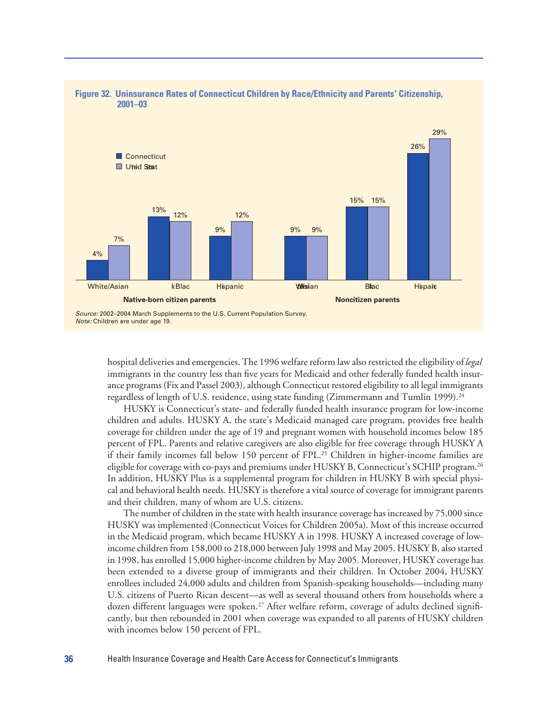

# **Figure 32. Uninsurance Rates of Connecticut Children by Race/Ethnicity and Parents' Citizenship,**

hospital deliveries and emergencies. The 1996 welfare reform law also restricted the eligibility of *legal* immigrants in the country less than five years for Medicaid and other federally funded health insurance programs (Fix and Passel 2003), although Connecticut restored eligibility to all legal immigrants regardless of length of U.S. residence, using state funding (Zimmermann and Tumlin 1999).24

HUSKY is Connecticut's state- and federally funded health insurance program for low-income children and adults. HUSKY A, the state's Medicaid managed care program, provides free health coverage for children under the age of 19 and pregnant women with household incomes below 185 percent of FPL. Parents and relative caregivers are also eligible for free coverage through HUSKY A if their family incomes fall below 150 percent of FPL.<sup>25</sup> Children in higher-income families are eligible for coverage with co-pays and premiums under HUSKY B, Connecticut's SCHIP program.<sup>26</sup> In addition, HUSKY Plus is a supplemental program for children in HUSKY B with special physical and behavioral health needs. HUSKY is therefore a vital source of coverage for immigrant parents and their children, many of whom are U.S. citizens.

The number of children in the state with health insurance coverage has increased by 75,000 since HUSKY was implemented (Connecticut Voices for Children 2005a). Most of this increase occurred in the Medicaid program, which became HUSKY A in 1998. HUSKY A increased coverage of lowincome children from 158,000 to 218,000 between July 1998 and May 2005. HUSKY B, also started in 1998, has enrolled 15,000 higher-income children by May 2005. Moreover, HUSKY coverage has been extended to a diverse group of immigrants and their children. In October 2004, HUSKY enrollees included 24,000 adults and children from Spanish-speaking households—including many U.S. citizens of Puerto Rican descent—as well as several thousand others from households where a dozen different languages were spoken.<sup>27</sup> After welfare reform, coverage of adults declined significantly, but then rebounded in 2001 when coverage was expanded to all parents of HUSKY children with incomes below 150 percent of FPL.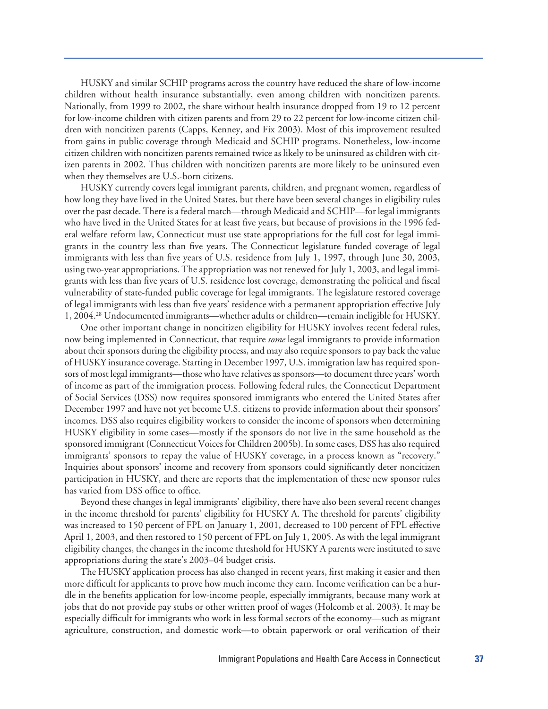HUSKY and similar SCHIP programs across the country have reduced the share of low-income children without health insurance substantially, even among children with noncitizen parents. Nationally, from 1999 to 2002, the share without health insurance dropped from 19 to 12 percent for low-income children with citizen parents and from 29 to 22 percent for low-income citizen children with noncitizen parents (Capps, Kenney, and Fix 2003). Most of this improvement resulted from gains in public coverage through Medicaid and SCHIP programs. Nonetheless, low-income citizen children with noncitizen parents remained twice as likely to be uninsured as children with citizen parents in 2002. Thus children with noncitizen parents are more likely to be uninsured even when they themselves are U.S.-born citizens.

HUSKY currently covers legal immigrant parents, children, and pregnant women, regardless of how long they have lived in the United States, but there have been several changes in eligibility rules over the past decade. There is a federal match—through Medicaid and SCHIP—for legal immigrants who have lived in the United States for at least five years, but because of provisions in the 1996 federal welfare reform law, Connecticut must use state appropriations for the full cost for legal immigrants in the country less than five years. The Connecticut legislature funded coverage of legal immigrants with less than five years of U.S. residence from July 1, 1997, through June 30, 2003, using two-year appropriations. The appropriation was not renewed for July 1, 2003, and legal immigrants with less than five years of U.S. residence lost coverage, demonstrating the political and fiscal vulnerability of state-funded public coverage for legal immigrants. The legislature restored coverage of legal immigrants with less than five years' residence with a permanent appropriation effective July 1, 2004.28 Undocumented immigrants—whether adults or children—remain ineligible for HUSKY.

One other important change in noncitizen eligibility for HUSKY involves recent federal rules, now being implemented in Connecticut, that require *some* legal immigrants to provide information about their sponsors during the eligibility process, and may also require sponsors to pay back the value of HUSKY insurance coverage. Starting in December 1997, U.S. immigration law has required sponsors of most legal immigrants—those who have relatives as sponsors—to document three years' worth of income as part of the immigration process. Following federal rules, the Connecticut Department of Social Services (DSS) now requires sponsored immigrants who entered the United States after December 1997 and have not yet become U.S. citizens to provide information about their sponsors' incomes. DSS also requires eligibility workers to consider the income of sponsors when determining HUSKY eligibility in some cases—mostly if the sponsors do not live in the same household as the sponsored immigrant (Connecticut Voices for Children 2005b). In some cases, DSS has also required immigrants' sponsors to repay the value of HUSKY coverage, in a process known as "recovery." Inquiries about sponsors' income and recovery from sponsors could significantly deter noncitizen participation in HUSKY, and there are reports that the implementation of these new sponsor rules has varied from DSS office to office.

Beyond these changes in legal immigrants' eligibility, there have also been several recent changes in the income threshold for parents' eligibility for HUSKY A. The threshold for parents' eligibility was increased to 150 percent of FPL on January 1, 2001, decreased to 100 percent of FPL effective April 1, 2003, and then restored to 150 percent of FPL on July 1, 2005. As with the legal immigrant eligibility changes, the changes in the income threshold for HUSKY A parents were instituted to save appropriations during the state's 2003–04 budget crisis.

The HUSKY application process has also changed in recent years, first making it easier and then more difficult for applicants to prove how much income they earn. Income verification can be a hurdle in the benefits application for low-income people, especially immigrants, because many work at jobs that do not provide pay stubs or other written proof of wages (Holcomb et al. 2003). It may be especially difficult for immigrants who work in less formal sectors of the economy—such as migrant agriculture, construction, and domestic work—to obtain paperwork or oral verification of their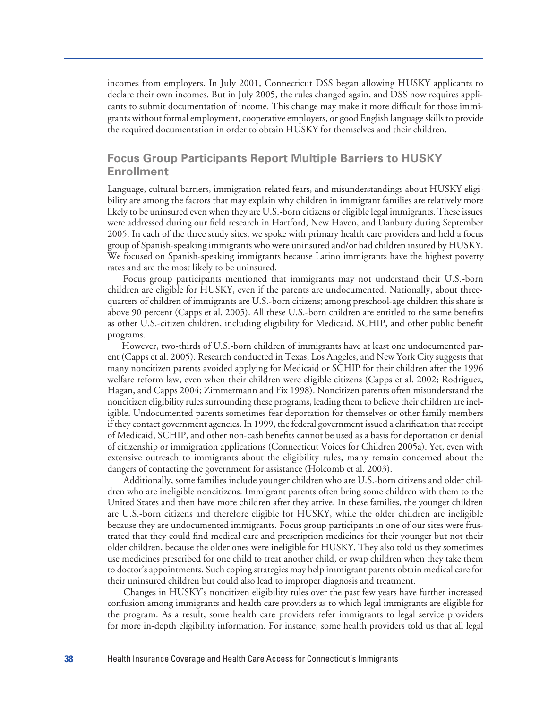incomes from employers. In July 2001, Connecticut DSS began allowing HUSKY applicants to declare their own incomes. But in July 2005, the rules changed again, and DSS now requires applicants to submit documentation of income. This change may make it more difficult for those immigrants without formal employment, cooperative employers, or good English language skills to provide the required documentation in order to obtain HUSKY for themselves and their children.

#### **Focus Group Participants Report Multiple Barriers to HUSKY Enrollment**

Language, cultural barriers, immigration-related fears, and misunderstandings about HUSKY eligibility are among the factors that may explain why children in immigrant families are relatively more likely to be uninsured even when they are U.S.-born citizens or eligible legal immigrants. These issues were addressed during our field research in Hartford, New Haven, and Danbury during September 2005. In each of the three study sites, we spoke with primary health care providers and held a focus group of Spanish-speaking immigrants who were uninsured and/or had children insured by HUSKY. We focused on Spanish-speaking immigrants because Latino immigrants have the highest poverty rates and are the most likely to be uninsured.

Focus group participants mentioned that immigrants may not understand their U.S.-born children are eligible for HUSKY, even if the parents are undocumented. Nationally, about threequarters of children of immigrants are U.S.-born citizens; among preschool-age children this share is above 90 percent (Capps et al. 2005). All these U.S.-born children are entitled to the same benefits as other U.S.-citizen children, including eligibility for Medicaid, SCHIP, and other public benefit programs.

However, two-thirds of U.S.-born children of immigrants have at least one undocumented parent (Capps et al. 2005). Research conducted in Texas, Los Angeles, and New York City suggests that many noncitizen parents avoided applying for Medicaid or SCHIP for their children after the 1996 welfare reform law, even when their children were eligible citizens (Capps et al. 2002; Rodriguez, Hagan, and Capps 2004; Zimmermann and Fix 1998). Noncitizen parents often misunderstand the noncitizen eligibility rules surrounding these programs, leading them to believe their children are ineligible. Undocumented parents sometimes fear deportation for themselves or other family members if they contact government agencies. In 1999, the federal government issued a clarification that receipt of Medicaid, SCHIP, and other non-cash benefits cannot be used as a basis for deportation or denial of citizenship or immigration applications (Connecticut Voices for Children 2005a). Yet, even with extensive outreach to immigrants about the eligibility rules, many remain concerned about the dangers of contacting the government for assistance (Holcomb et al. 2003).

Additionally, some families include younger children who are U.S.-born citizens and older children who are ineligible noncitizens. Immigrant parents often bring some children with them to the United States and then have more children after they arrive. In these families, the younger children are U.S.-born citizens and therefore eligible for HUSKY, while the older children are ineligible because they are undocumented immigrants. Focus group participants in one of our sites were frustrated that they could find medical care and prescription medicines for their younger but not their older children, because the older ones were ineligible for HUSKY. They also told us they sometimes use medicines prescribed for one child to treat another child, or swap children when they take them to doctor's appointments. Such coping strategies may help immigrant parents obtain medical care for their uninsured children but could also lead to improper diagnosis and treatment.

Changes in HUSKY's noncitizen eligibility rules over the past few years have further increased confusion among immigrants and health care providers as to which legal immigrants are eligible for the program. As a result, some health care providers refer immigrants to legal service providers for more in-depth eligibility information. For instance, some health providers told us that all legal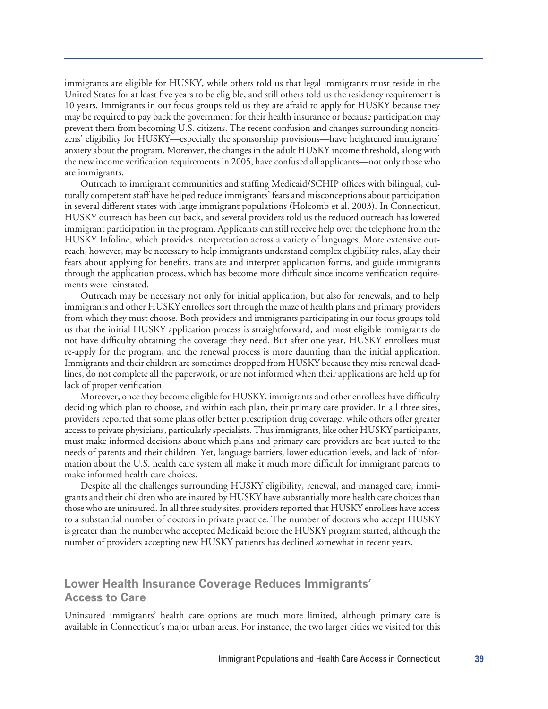immigrants are eligible for HUSKY, while others told us that legal immigrants must reside in the United States for at least five years to be eligible, and still others told us the residency requirement is 10 years. Immigrants in our focus groups told us they are afraid to apply for HUSKY because they may be required to pay back the government for their health insurance or because participation may prevent them from becoming U.S. citizens. The recent confusion and changes surrounding noncitizens' eligibility for HUSKY—especially the sponsorship provisions—have heightened immigrants' anxiety about the program. Moreover, the changes in the adult HUSKY income threshold, along with the new income verification requirements in 2005, have confused all applicants—not only those who are immigrants.

Outreach to immigrant communities and staffing Medicaid/SCHIP offices with bilingual, culturally competent staff have helped reduce immigrants' fears and misconceptions about participation in several different states with large immigrant populations (Holcomb et al. 2003). In Connecticut, HUSKY outreach has been cut back, and several providers told us the reduced outreach has lowered immigrant participation in the program. Applicants can still receive help over the telephone from the HUSKY Infoline, which provides interpretation across a variety of languages. More extensive outreach, however, may be necessary to help immigrants understand complex eligibility rules, allay their fears about applying for benefits, translate and interpret application forms, and guide immigrants through the application process, which has become more difficult since income verification requirements were reinstated.

Outreach may be necessary not only for initial application, but also for renewals, and to help immigrants and other HUSKY enrollees sort through the maze of health plans and primary providers from which they must choose. Both providers and immigrants participating in our focus groups told us that the initial HUSKY application process is straightforward, and most eligible immigrants do not have difficulty obtaining the coverage they need. But after one year, HUSKY enrollees must re-apply for the program, and the renewal process is more daunting than the initial application. Immigrants and their children are sometimes dropped from HUSKY because they miss renewal deadlines, do not complete all the paperwork, or are not informed when their applications are held up for lack of proper verification.

Moreover, once they become eligible for HUSKY, immigrants and other enrollees have difficulty deciding which plan to choose, and within each plan, their primary care provider. In all three sites, providers reported that some plans offer better prescription drug coverage, while others offer greater access to private physicians, particularly specialists. Thus immigrants, like other HUSKY participants, must make informed decisions about which plans and primary care providers are best suited to the needs of parents and their children. Yet, language barriers, lower education levels, and lack of information about the U.S. health care system all make it much more difficult for immigrant parents to make informed health care choices.

Despite all the challenges surrounding HUSKY eligibility, renewal, and managed care, immigrants and their children who are insured by HUSKY have substantially more health care choices than those who are uninsured. In all three study sites, providers reported that HUSKY enrollees have access to a substantial number of doctors in private practice. The number of doctors who accept HUSKY is greater than the number who accepted Medicaid before the HUSKY program started, although the number of providers accepting new HUSKY patients has declined somewhat in recent years.

#### **Lower Health Insurance Coverage Reduces Immigrants' Access to Care**

Uninsured immigrants' health care options are much more limited, although primary care is available in Connecticut's major urban areas. For instance, the two larger cities we visited for this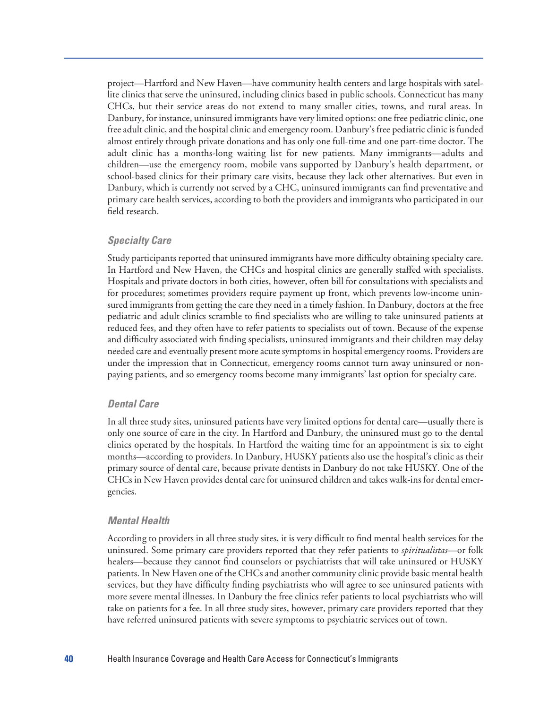project—Hartford and New Haven—have community health centers and large hospitals with satellite clinics that serve the uninsured, including clinics based in public schools. Connecticut has many CHCs, but their service areas do not extend to many smaller cities, towns, and rural areas. In Danbury, for instance, uninsured immigrants have very limited options: one free pediatric clinic, one free adult clinic, and the hospital clinic and emergency room. Danbury's free pediatric clinic is funded almost entirely through private donations and has only one full-time and one part-time doctor. The adult clinic has a months-long waiting list for new patients. Many immigrants—adults and children—use the emergency room, mobile vans supported by Danbury's health department, or school-based clinics for their primary care visits, because they lack other alternatives. But even in Danbury, which is currently not served by a CHC, uninsured immigrants can find preventative and primary care health services, according to both the providers and immigrants who participated in our field research.

#### *Specialty Care*

Study participants reported that uninsured immigrants have more difficulty obtaining specialty care. In Hartford and New Haven, the CHCs and hospital clinics are generally staffed with specialists. Hospitals and private doctors in both cities, however, often bill for consultations with specialists and for procedures; sometimes providers require payment up front, which prevents low-income uninsured immigrants from getting the care they need in a timely fashion. In Danbury, doctors at the free pediatric and adult clinics scramble to find specialists who are willing to take uninsured patients at reduced fees, and they often have to refer patients to specialists out of town. Because of the expense and difficulty associated with finding specialists, uninsured immigrants and their children may delay needed care and eventually present more acute symptoms in hospital emergency rooms. Providers are under the impression that in Connecticut, emergency rooms cannot turn away uninsured or nonpaying patients, and so emergency rooms become many immigrants' last option for specialty care.

#### *Dental Care*

In all three study sites, uninsured patients have very limited options for dental care—usually there is only one source of care in the city. In Hartford and Danbury, the uninsured must go to the dental clinics operated by the hospitals. In Hartford the waiting time for an appointment is six to eight months—according to providers. In Danbury, HUSKY patients also use the hospital's clinic as their primary source of dental care, because private dentists in Danbury do not take HUSKY. One of the CHCs in New Haven provides dental care for uninsured children and takes walk-ins for dental emergencies.

#### *Mental Health*

According to providers in all three study sites, it is very difficult to find mental health services for the uninsured. Some primary care providers reported that they refer patients to *spiritualistas*—or folk healers—because they cannot find counselors or psychiatrists that will take uninsured or HUSKY patients. In New Haven one of the CHCs and another community clinic provide basic mental health services, but they have difficulty finding psychiatrists who will agree to see uninsured patients with more severe mental illnesses. In Danbury the free clinics refer patients to local psychiatrists who will take on patients for a fee. In all three study sites, however, primary care providers reported that they have referred uninsured patients with severe symptoms to psychiatric services out of town.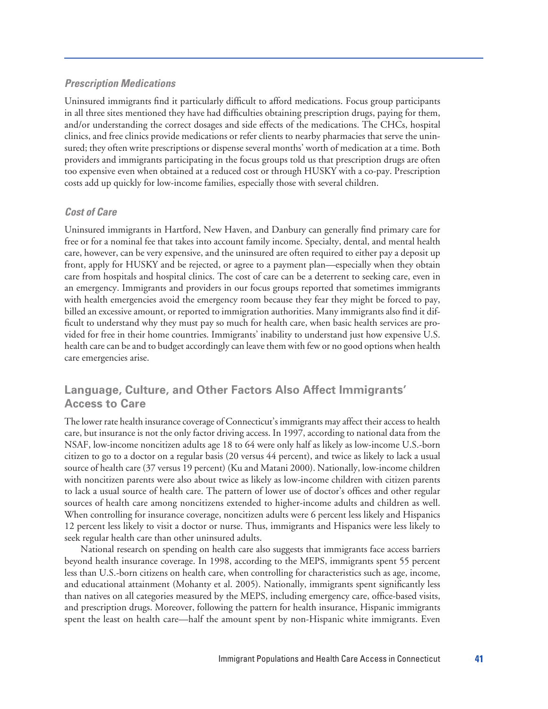#### *Prescription Medications*

Uninsured immigrants find it particularly difficult to afford medications. Focus group participants in all three sites mentioned they have had difficulties obtaining prescription drugs, paying for them, and/or understanding the correct dosages and side effects of the medications. The CHCs, hospital clinics, and free clinics provide medications or refer clients to nearby pharmacies that serve the uninsured; they often write prescriptions or dispense several months' worth of medication at a time. Both providers and immigrants participating in the focus groups told us that prescription drugs are often too expensive even when obtained at a reduced cost or through HUSKY with a co-pay. Prescription costs add up quickly for low-income families, especially those with several children.

#### *Cost of Care*

Uninsured immigrants in Hartford, New Haven, and Danbury can generally find primary care for free or for a nominal fee that takes into account family income. Specialty, dental, and mental health care, however, can be very expensive, and the uninsured are often required to either pay a deposit up front, apply for HUSKY and be rejected, or agree to a payment plan—especially when they obtain care from hospitals and hospital clinics. The cost of care can be a deterrent to seeking care, even in an emergency. Immigrants and providers in our focus groups reported that sometimes immigrants with health emergencies avoid the emergency room because they fear they might be forced to pay, billed an excessive amount, or reported to immigration authorities. Many immigrants also find it difficult to understand why they must pay so much for health care, when basic health services are provided for free in their home countries. Immigrants' inability to understand just how expensive U.S. health care can be and to budget accordingly can leave them with few or no good options when health care emergencies arise.

#### **Language, Culture, and Other Factors Also Affect Immigrants' Access to Care**

The lower rate health insurance coverage of Connecticut's immigrants may affect their access to health care, but insurance is not the only factor driving access. In 1997, according to national data from the NSAF, low-income noncitizen adults age 18 to 64 were only half as likely as low-income U.S.-born citizen to go to a doctor on a regular basis (20 versus 44 percent), and twice as likely to lack a usual source of health care (37 versus 19 percent) (Ku and Matani 2000). Nationally, low-income children with noncitizen parents were also about twice as likely as low-income children with citizen parents to lack a usual source of health care. The pattern of lower use of doctor's offices and other regular sources of health care among noncitizens extended to higher-income adults and children as well. When controlling for insurance coverage, noncitizen adults were 6 percent less likely and Hispanics 12 percent less likely to visit a doctor or nurse. Thus, immigrants and Hispanics were less likely to seek regular health care than other uninsured adults.

National research on spending on health care also suggests that immigrants face access barriers beyond health insurance coverage. In 1998, according to the MEPS, immigrants spent 55 percent less than U.S.-born citizens on health care, when controlling for characteristics such as age, income, and educational attainment (Mohanty et al. 2005). Nationally, immigrants spent significantly less than natives on all categories measured by the MEPS, including emergency care, office-based visits, and prescription drugs. Moreover, following the pattern for health insurance, Hispanic immigrants spent the least on health care—half the amount spent by non-Hispanic white immigrants. Even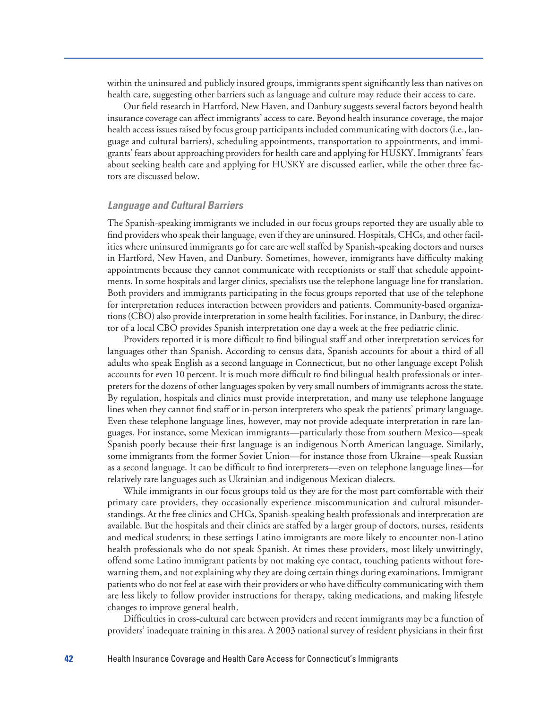within the uninsured and publicly insured groups, immigrants spent significantly less than natives on health care, suggesting other barriers such as language and culture may reduce their access to care.

Our field research in Hartford, New Haven, and Danbury suggests several factors beyond health insurance coverage can affect immigrants' access to care. Beyond health insurance coverage, the major health access issues raised by focus group participants included communicating with doctors (i.e., language and cultural barriers), scheduling appointments, transportation to appointments, and immigrants' fears about approaching providers for health care and applying for HUSKY. Immigrants' fears about seeking health care and applying for HUSKY are discussed earlier, while the other three factors are discussed below.

#### *Language and Cultural Barriers*

The Spanish-speaking immigrants we included in our focus groups reported they are usually able to find providers who speak their language, even if they are uninsured. Hospitals, CHCs, and other facilities where uninsured immigrants go for care are well staffed by Spanish-speaking doctors and nurses in Hartford, New Haven, and Danbury. Sometimes, however, immigrants have difficulty making appointments because they cannot communicate with receptionists or staff that schedule appointments. In some hospitals and larger clinics, specialists use the telephone language line for translation. Both providers and immigrants participating in the focus groups reported that use of the telephone for interpretation reduces interaction between providers and patients. Community-based organizations (CBO) also provide interpretation in some health facilities. For instance, in Danbury, the director of a local CBO provides Spanish interpretation one day a week at the free pediatric clinic.

Providers reported it is more difficult to find bilingual staff and other interpretation services for languages other than Spanish. According to census data, Spanish accounts for about a third of all adults who speak English as a second language in Connecticut, but no other language except Polish accounts for even 10 percent. It is much more difficult to find bilingual health professionals or interpreters for the dozens of other languages spoken by very small numbers of immigrants across the state. By regulation, hospitals and clinics must provide interpretation, and many use telephone language lines when they cannot find staff or in-person interpreters who speak the patients' primary language. Even these telephone language lines, however, may not provide adequate interpretation in rare languages. For instance, some Mexican immigrants—particularly those from southern Mexico—speak Spanish poorly because their first language is an indigenous North American language. Similarly, some immigrants from the former Soviet Union—for instance those from Ukraine—speak Russian as a second language. It can be difficult to find interpreters—even on telephone language lines—for relatively rare languages such as Ukrainian and indigenous Mexican dialects.

While immigrants in our focus groups told us they are for the most part comfortable with their primary care providers, they occasionally experience miscommunication and cultural misunderstandings. At the free clinics and CHCs, Spanish-speaking health professionals and interpretation are available. But the hospitals and their clinics are staffed by a larger group of doctors, nurses, residents and medical students; in these settings Latino immigrants are more likely to encounter non-Latino health professionals who do not speak Spanish. At times these providers, most likely unwittingly, offend some Latino immigrant patients by not making eye contact, touching patients without forewarning them, and not explaining why they are doing certain things during examinations. Immigrant patients who do not feel at ease with their providers or who have difficulty communicating with them are less likely to follow provider instructions for therapy, taking medications, and making lifestyle changes to improve general health.

Difficulties in cross-cultural care between providers and recent immigrants may be a function of providers' inadequate training in this area. A 2003 national survey of resident physicians in their first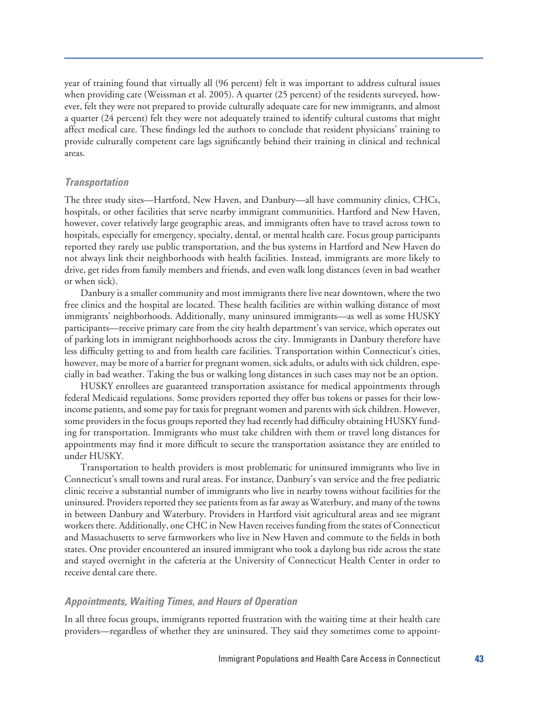year of training found that virtually all (96 percent) felt it was important to address cultural issues when providing care (Weissman et al. 2005). A quarter (25 percent) of the residents surveyed, however, felt they were not prepared to provide culturally adequate care for new immigrants, and almost a quarter (24 percent) felt they were not adequately trained to identify cultural customs that might affect medical care. These findings led the authors to conclude that resident physicians' training to provide culturally competent care lags significantly behind their training in clinical and technical areas.

#### *Transportation*

The three study sites—Hartford, New Haven, and Danbury—all have community clinics, CHCs, hospitals, or other facilities that serve nearby immigrant communities. Hartford and New Haven, however, cover relatively large geographic areas, and immigrants often have to travel across town to hospitals, especially for emergency, specialty, dental, or mental health care. Focus group participants reported they rarely use public transportation, and the bus systems in Hartford and New Haven do not always link their neighborhoods with health facilities. Instead, immigrants are more likely to drive, get rides from family members and friends, and even walk long distances (even in bad weather or when sick).

Danbury is a smaller community and most immigrants there live near downtown, where the two free clinics and the hospital are located. These health facilities are within walking distance of most immigrants' neighborhoods. Additionally, many uninsured immigrants—as well as some HUSKY participants—receive primary care from the city health department's van service, which operates out of parking lots in immigrant neighborhoods across the city. Immigrants in Danbury therefore have less difficulty getting to and from health care facilities. Transportation within Connecticut's cities, however, may be more of a barrier for pregnant women, sick adults, or adults with sick children, especially in bad weather. Taking the bus or walking long distances in such cases may not be an option.

HUSKY enrollees are guaranteed transportation assistance for medical appointments through federal Medicaid regulations. Some providers reported they offer bus tokens or passes for their lowincome patients, and some pay for taxis for pregnant women and parents with sick children. However, some providers in the focus groups reported they had recently had difficulty obtaining HUSKY funding for transportation. Immigrants who must take children with them or travel long distances for appointments may find it more difficult to secure the transportation assistance they are entitled to under HUSKY.

Transportation to health providers is most problematic for uninsured immigrants who live in Connecticut's small towns and rural areas. For instance, Danbury's van service and the free pediatric clinic receive a substantial number of immigrants who live in nearby towns without facilities for the uninsured. Providers reported they see patients from as far away as Waterbury, and many of the towns in between Danbury and Waterbury. Providers in Hartford visit agricultural areas and see migrant workers there. Additionally, one CHC in New Haven receives funding from the states of Connecticut and Massachusetts to serve farmworkers who live in New Haven and commute to the fields in both states. One provider encountered an insured immigrant who took a daylong bus ride across the state and stayed overnight in the cafeteria at the University of Connecticut Health Center in order to receive dental care there.

#### *Appointments, Waiting Times, and Hours of Operation*

In all three focus groups, immigrants reported frustration with the waiting time at their health care providers—regardless of whether they are uninsured. They said they sometimes come to appoint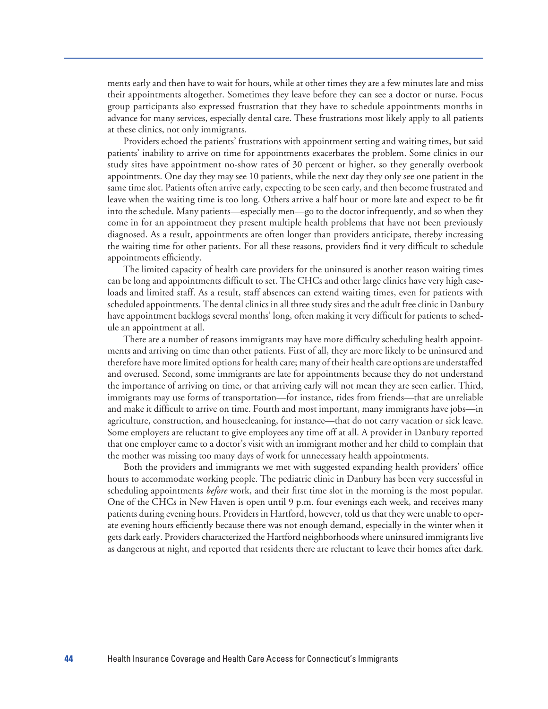ments early and then have to wait for hours, while at other times they are a few minutes late and miss their appointments altogether. Sometimes they leave before they can see a doctor or nurse. Focus group participants also expressed frustration that they have to schedule appointments months in advance for many services, especially dental care. These frustrations most likely apply to all patients at these clinics, not only immigrants.

Providers echoed the patients' frustrations with appointment setting and waiting times, but said patients' inability to arrive on time for appointments exacerbates the problem. Some clinics in our study sites have appointment no-show rates of 30 percent or higher, so they generally overbook appointments. One day they may see 10 patients, while the next day they only see one patient in the same time slot. Patients often arrive early, expecting to be seen early, and then become frustrated and leave when the waiting time is too long. Others arrive a half hour or more late and expect to be fit into the schedule. Many patients—especially men—go to the doctor infrequently, and so when they come in for an appointment they present multiple health problems that have not been previously diagnosed. As a result, appointments are often longer than providers anticipate, thereby increasing the waiting time for other patients. For all these reasons, providers find it very difficult to schedule appointments efficiently.

The limited capacity of health care providers for the uninsured is another reason waiting times can be long and appointments difficult to set. The CHCs and other large clinics have very high caseloads and limited staff. As a result, staff absences can extend waiting times, even for patients with scheduled appointments. The dental clinics in all three study sites and the adult free clinic in Danbury have appointment backlogs several months' long, often making it very difficult for patients to schedule an appointment at all.

There are a number of reasons immigrants may have more difficulty scheduling health appointments and arriving on time than other patients. First of all, they are more likely to be uninsured and therefore have more limited options for health care; many of their health care options are understaffed and overused. Second, some immigrants are late for appointments because they do not understand the importance of arriving on time, or that arriving early will not mean they are seen earlier. Third, immigrants may use forms of transportation—for instance, rides from friends—that are unreliable and make it difficult to arrive on time. Fourth and most important, many immigrants have jobs—in agriculture, construction, and housecleaning, for instance—that do not carry vacation or sick leave. Some employers are reluctant to give employees any time off at all. A provider in Danbury reported that one employer came to a doctor's visit with an immigrant mother and her child to complain that the mother was missing too many days of work for unnecessary health appointments.

Both the providers and immigrants we met with suggested expanding health providers' office hours to accommodate working people. The pediatric clinic in Danbury has been very successful in scheduling appointments *before* work, and their first time slot in the morning is the most popular. One of the CHCs in New Haven is open until 9 p.m. four evenings each week, and receives many patients during evening hours. Providers in Hartford, however, told us that they were unable to operate evening hours efficiently because there was not enough demand, especially in the winter when it gets dark early. Providers characterized the Hartford neighborhoods where uninsured immigrants live as dangerous at night, and reported that residents there are reluctant to leave their homes after dark.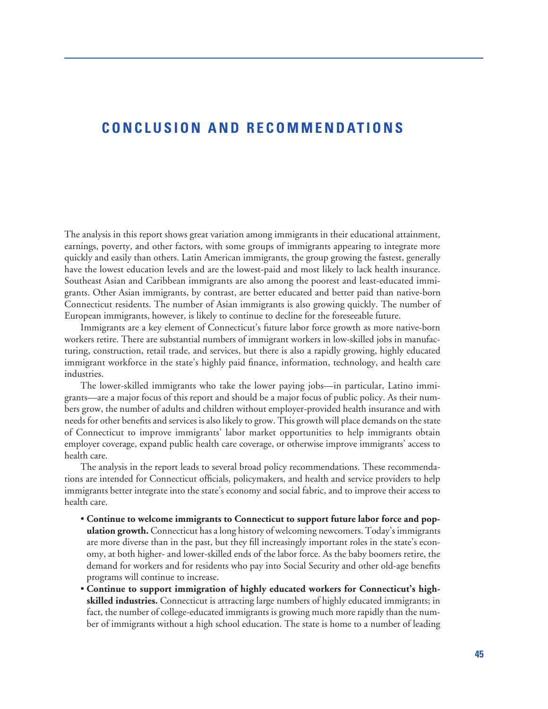#### **CONCLUSION AND RECOMMENDATIONS**

The analysis in this report shows great variation among immigrants in their educational attainment, earnings, poverty, and other factors, with some groups of immigrants appearing to integrate more quickly and easily than others. Latin American immigrants, the group growing the fastest, generally have the lowest education levels and are the lowest-paid and most likely to lack health insurance. Southeast Asian and Caribbean immigrants are also among the poorest and least-educated immigrants. Other Asian immigrants, by contrast, are better educated and better paid than native-born Connecticut residents. The number of Asian immigrants is also growing quickly. The number of European immigrants, however, is likely to continue to decline for the foreseeable future.

Immigrants are a key element of Connecticut's future labor force growth as more native-born workers retire. There are substantial numbers of immigrant workers in low-skilled jobs in manufacturing, construction, retail trade, and services, but there is also a rapidly growing, highly educated immigrant workforce in the state's highly paid finance, information, technology, and health care industries.

The lower-skilled immigrants who take the lower paying jobs—in particular, Latino immigrants—are a major focus of this report and should be a major focus of public policy. As their numbers grow, the number of adults and children without employer-provided health insurance and with needs for other benefits and services is also likely to grow. This growth will place demands on the state of Connecticut to improve immigrants' labor market opportunities to help immigrants obtain employer coverage, expand public health care coverage, or otherwise improve immigrants' access to health care.

The analysis in the report leads to several broad policy recommendations. These recommendations are intended for Connecticut officials, policymakers, and health and service providers to help immigrants better integrate into the state's economy and social fabric, and to improve their access to health care.

- **Continue to welcome immigrants to Connecticut to support future labor force and population growth.** Connecticut has a long history of welcoming newcomers. Today's immigrants are more diverse than in the past, but they fill increasingly important roles in the state's economy, at both higher- and lower-skilled ends of the labor force. As the baby boomers retire, the demand for workers and for residents who pay into Social Security and other old-age benefits programs will continue to increase.
- **Continue to support immigration of highly educated workers for Connecticut's highskilled industries.** Connecticut is attracting large numbers of highly educated immigrants; in fact, the number of college-educated immigrants is growing much more rapidly than the number of immigrants without a high school education. The state is home to a number of leading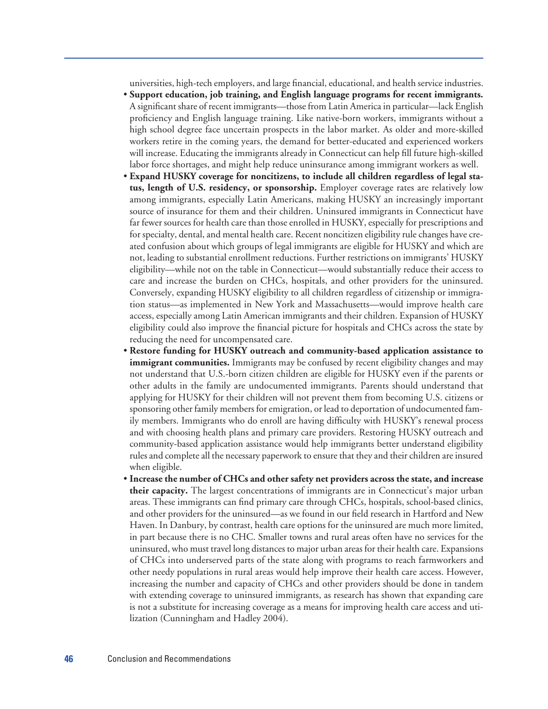universities, high-tech employers, and large financial, educational, and health service industries.

- **Support education, job training, and English language programs for recent immigrants.** A significant share of recent immigrants—those from Latin America in particular—lack English proficiency and English language training. Like native-born workers, immigrants without a high school degree face uncertain prospects in the labor market. As older and more-skilled workers retire in the coming years, the demand for better-educated and experienced workers will increase. Educating the immigrants already in Connecticut can help fill future high-skilled labor force shortages, and might help reduce uninsurance among immigrant workers as well.
- **Expand HUSKY coverage for noncitizens, to include all children regardless of legal status, length of U.S. residency, or sponsorship.** Employer coverage rates are relatively low among immigrants, especially Latin Americans, making HUSKY an increasingly important source of insurance for them and their children. Uninsured immigrants in Connecticut have far fewer sources for health care than those enrolled in HUSKY, especially for prescriptions and for specialty, dental, and mental health care. Recent noncitizen eligibility rule changes have created confusion about which groups of legal immigrants are eligible for HUSKY and which are not, leading to substantial enrollment reductions. Further restrictions on immigrants' HUSKY eligibility—while not on the table in Connecticut—would substantially reduce their access to care and increase the burden on CHCs, hospitals, and other providers for the uninsured. Conversely, expanding HUSKY eligibility to all children regardless of citizenship or immigration status—as implemented in New York and Massachusetts—would improve health care access, especially among Latin American immigrants and their children. Expansion of HUSKY eligibility could also improve the financial picture for hospitals and CHCs across the state by reducing the need for uncompensated care.
- **Restore funding for HUSKY outreach and community-based application assistance to immigrant communities.** Immigrants may be confused by recent eligibility changes and may not understand that U.S.-born citizen children are eligible for HUSKY even if the parents or other adults in the family are undocumented immigrants. Parents should understand that applying for HUSKY for their children will not prevent them from becoming U.S. citizens or sponsoring other family members for emigration, or lead to deportation of undocumented family members. Immigrants who do enroll are having difficulty with HUSKY's renewal process and with choosing health plans and primary care providers. Restoring HUSKY outreach and community-based application assistance would help immigrants better understand eligibility rules and complete all the necessary paperwork to ensure that they and their children are insured when eligible.
- **Increase the number of CHCs and other safety net providers across the state, and increase their capacity.** The largest concentrations of immigrants are in Connecticut's major urban areas. These immigrants can find primary care through CHCs, hospitals, school-based clinics, and other providers for the uninsured—as we found in our field research in Hartford and New Haven. In Danbury, by contrast, health care options for the uninsured are much more limited, in part because there is no CHC. Smaller towns and rural areas often have no services for the uninsured, who must travel long distances to major urban areas for their health care. Expansions of CHCs into underserved parts of the state along with programs to reach farmworkers and other needy populations in rural areas would help improve their health care access. However, increasing the number and capacity of CHCs and other providers should be done in tandem with extending coverage to uninsured immigrants, as research has shown that expanding care is not a substitute for increasing coverage as a means for improving health care access and utilization (Cunningham and Hadley 2004).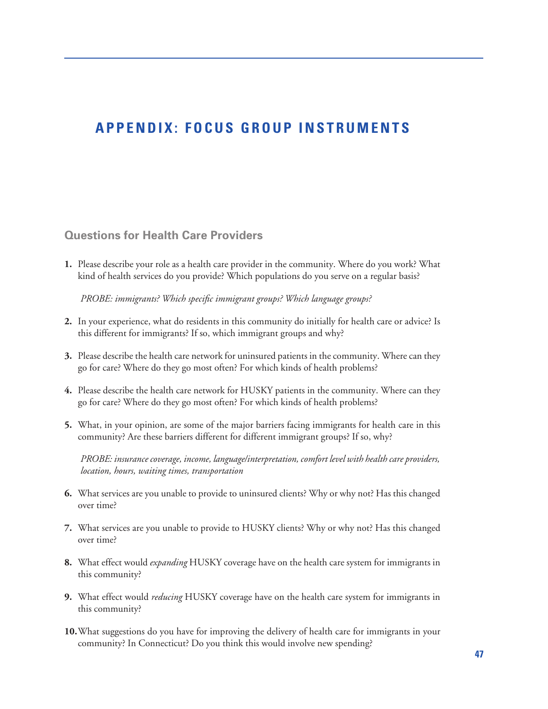## **APPENDIX: FOCUS GROUP INSTRUMENTS**

#### **Questions for Health Care Providers**

**1.** Please describe your role as a health care provider in the community. Where do you work? What kind of health services do you provide? Which populations do you serve on a regular basis?

*PROBE: immigrants? Which specific immigrant groups? Which language groups?* 

- **2.** In your experience, what do residents in this community do initially for health care or advice? Is this different for immigrants? If so, which immigrant groups and why?
- **3.** Please describe the health care network for uninsured patients in the community. Where can they go for care? Where do they go most often? For which kinds of health problems?
- **4.** Please describe the health care network for HUSKY patients in the community. Where can they go for care? Where do they go most often? For which kinds of health problems?
- **5.** What, in your opinion, are some of the major barriers facing immigrants for health care in this community? Are these barriers different for different immigrant groups? If so, why?

*PROBE: insurance coverage, income, language/interpretation, comfort level with health care providers, location, hours, waiting times, transportation*

- **6.** What services are you unable to provide to uninsured clients? Why or why not? Has this changed over time?
- **7.** What services are you unable to provide to HUSKY clients? Why or why not? Has this changed over time?
- **8.** What effect would *expanding* HUSKY coverage have on the health care system for immigrants in this community?
- **9.** What effect would *reducing* HUSKY coverage have on the health care system for immigrants in this community?
- **10.**What suggestions do you have for improving the delivery of health care for immigrants in your community? In Connecticut? Do you think this would involve new spending?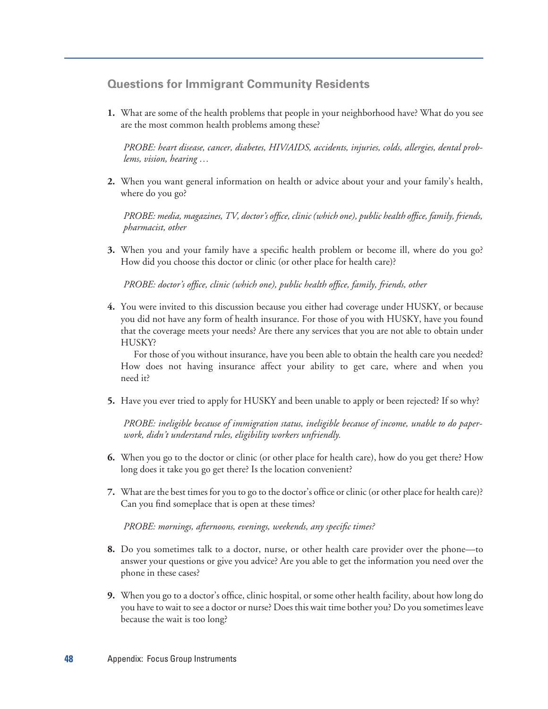#### **Questions for Immigrant Community Residents**

**1.** What are some of the health problems that people in your neighborhood have? What do you see are the most common health problems among these?

*PROBE: heart disease, cancer, diabetes, HIV/AIDS, accidents, injuries, colds, allergies, dental problems, vision, hearing …*

**2.** When you want general information on health or advice about your and your family's health, where do you go?

*PROBE: media, magazines, TV, doctor's office, clinic (which one), public health office, family, friends, pharmacist, other*

**3.** When you and your family have a specific health problem or become ill, where do you go? How did you choose this doctor or clinic (or other place for health care)?

*PROBE: doctor's office, clinic (which one), public health office, family, friends, other*

**4.** You were invited to this discussion because you either had coverage under HUSKY, or because you did not have any form of health insurance. For those of you with HUSKY, have you found that the coverage meets your needs? Are there any services that you are not able to obtain under HUSKY?

For those of you without insurance, have you been able to obtain the health care you needed? How does not having insurance affect your ability to get care, where and when you need it?

**5.** Have you ever tried to apply for HUSKY and been unable to apply or been rejected? If so why?

*PROBE: ineligible because of immigration status, ineligible because of income, unable to do paperwork, didn't understand rules, eligibility workers unfriendly.*

- **6.** When you go to the doctor or clinic (or other place for health care), how do you get there? How long does it take you go get there? Is the location convenient?
- **7.** What are the best times for you to go to the doctor's office or clinic (or other place for health care)? Can you find someplace that is open at these times?

*PROBE: mornings, afternoons, evenings, weekends, any specific times?*

- **8.** Do you sometimes talk to a doctor, nurse, or other health care provider over the phone—to answer your questions or give you advice? Are you able to get the information you need over the phone in these cases?
- **9.** When you go to a doctor's office, clinic hospital, or some other health facility, about how long do you have to wait to see a doctor or nurse? Does this wait time bother you? Do you sometimes leave because the wait is too long?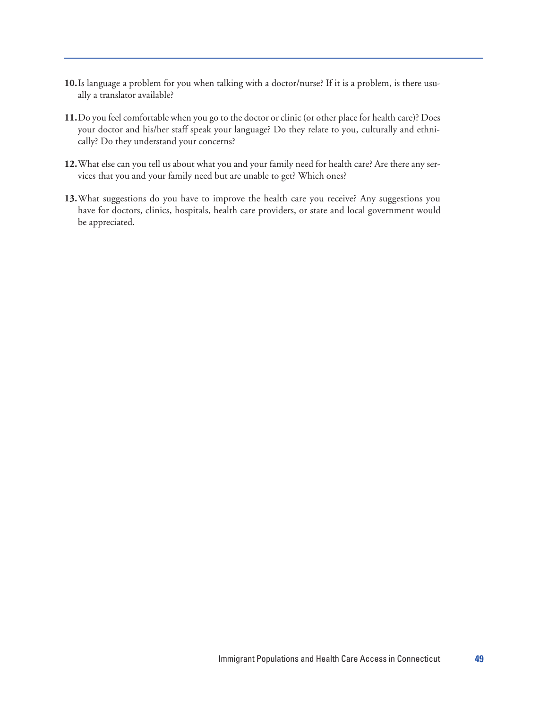- **10.**Is language a problem for you when talking with a doctor/nurse? If it is a problem, is there usually a translator available?
- **11.**Do you feel comfortable when you go to the doctor or clinic (or other place for health care)? Does your doctor and his/her staff speak your language? Do they relate to you, culturally and ethnically? Do they understand your concerns?
- **12.**What else can you tell us about what you and your family need for health care? Are there any services that you and your family need but are unable to get? Which ones?
- **13.**What suggestions do you have to improve the health care you receive? Any suggestions you have for doctors, clinics, hospitals, health care providers, or state and local government would be appreciated.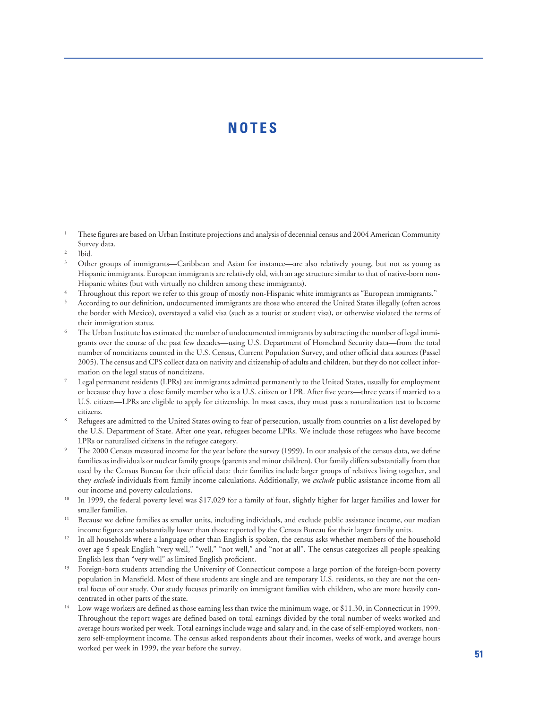## **NOTES**

- <sup>1</sup> These figures are based on Urban Institute projections and analysis of decennial census and 2004 American Community Survey data.
- Ibid.
- <sup>3</sup> Other groups of immigrants—Caribbean and Asian for instance—are also relatively young, but not as young as Hispanic immigrants. European immigrants are relatively old, with an age structure similar to that of native-born non-Hispanic whites (but with virtually no children among these immigrants).
- Throughout this report we refer to this group of mostly non-Hispanic white immigrants as "European immigrants."
- <sup>5</sup> According to our definition, undocumented immigrants are those who entered the United States illegally (often across the border with Mexico), overstayed a valid visa (such as a tourist or student visa), or otherwise violated the terms of their immigration status.
- The Urban Institute has estimated the number of undocumented immigrants by subtracting the number of legal immigrants over the course of the past few decades—using U.S. Department of Homeland Security data—from the total number of noncitizens counted in the U.S. Census, Current Population Survey, and other official data sources (Passel 2005). The census and CPS collect data on nativity and citizenship of adults and children, but they do not collect information on the legal status of noncitizens.
- Legal permanent residents (LPRs) are immigrants admitted permanently to the United States, usually for employment or because they have a close family member who is a U.S. citizen or LPR. After five years—three years if married to a U.S. citizen—LPRs are eligible to apply for citizenship. In most cases, they must pass a naturalization test to become citizens.
- <sup>8</sup> Refugees are admitted to the United States owing to fear of persecution, usually from countries on a list developed by the U.S. Department of State. After one year, refugees become LPRs. We include those refugees who have become LPRs or naturalized citizens in the refugee category.
- The 2000 Census measured income for the year before the survey (1999). In our analysis of the census data, we define families as individuals or nuclear family groups (parents and minor children). Our family differs substantially from that used by the Census Bureau for their official data: their families include larger groups of relatives living together, and they *exclude* individuals from family income calculations. Additionally, we *exclude* public assistance income from all our income and poverty calculations.
- <sup>10</sup> In 1999, the federal poverty level was \$17,029 for a family of four, slightly higher for larger families and lower for smaller families.
- <sup>11</sup> Because we define families as smaller units, including individuals, and exclude public assistance income, our median income figures are substantially lower than those reported by the Census Bureau for their larger family units.
- <sup>12</sup> In all households where a language other than English is spoken, the census asks whether members of the household over age 5 speak English "very well," "well," "not well," and "not at all". The census categorizes all people speaking English less than "very well" as limited English proficient.
- <sup>13</sup> Foreign-born students attending the University of Connecticut compose a large portion of the foreign-born poverty population in Mansfield. Most of these students are single and are temporary U.S. residents, so they are not the central focus of our study. Our study focuses primarily on immigrant families with children, who are more heavily concentrated in other parts of the state. 14 Low-wage workers are defined as those earning less than twice the minimum wage, or \$11.30, in Connecticut in 1999.
- Throughout the report wages are defined based on total earnings divided by the total number of weeks worked and average hours worked per week. Total earnings include wage and salary and, in the case of self-employed workers, nonzero self-employment income. The census asked respondents about their incomes, weeks of work, and average hours worked per week in 1999, the year before the survey. **51**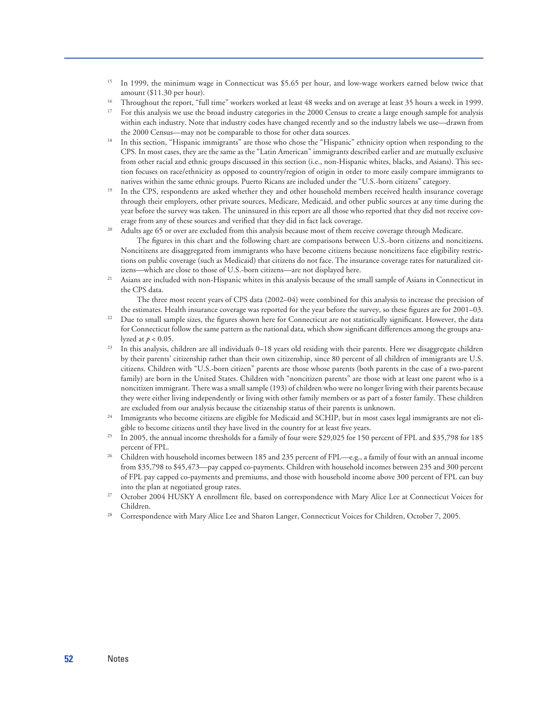- <sup>15</sup> In 1999, the minimum wage in Connecticut was \$5.65 per hour, and low-wage workers earned below twice that
- amount (\$11.30 per hour).<br>Throughout the report, "full time" workers worked at least 48 weeks and on average at least 35 hours a week in 1999.
- <sup>17</sup> For this analysis we use the broad industry categories in the 2000 Census to create a large enough sample for analysis within each industry. Note that industry codes have changed recently and so the industry labels we use—drawn from the 2000 Census—may not be comparable to those for other data sources.
- <sup>18</sup> In this section, "Hispanic immigrants" are those who chose the "Hispanic" ethnicity option when responding to the CPS. In most cases, they are the same as the "Latin American" immigrants described earlier and are mutually exclusive from other racial and ethnic groups discussed in this section (i.e., non-Hispanic whites, blacks, and Asians). This section focuses on race/ethnicity as opposed to country/region of origin in order to more easily compare immigrants to natives within the same ethnic groups. Puerto Ricans are included under the "U.S.-born citizens" category.<br><sup>19</sup> In the CPS, respondents are asked whether they and other household members received health insurance coverage
- through their employers, other private sources, Medicare, Medicaid, and other public sources at any time during the year before the survey was taken. The uninsured in this report are all those who reported that they did not receive coverage from any of these sources and verified that they did in fact lack coverage.
- <sup>20</sup> Adults age 65 or over are excluded from this analysis because most of them receive coverage through Medicare.

The figures in this chart and the following chart are comparisons between U.S.-born citizens and noncitizens. Noncitizens are disaggregated from immigrants who have become citizens because noncitizens face eligibility restrictions on public coverage (such as Medicaid) that citizens do not face. The insurance coverage rates for naturalized citizens—which are close to those of U.S.-born citizens—are not displayed here.

<sup>21</sup> Asians are included with non-Hispanic whites in this analysis because of the small sample of Asians in Connecticut in the CPS data.

The three most recent years of CPS data (2002–04) were combined for this analysis to increase the precision of the estimates. Health insurance coverage was reported for the year before the survey, so these figures are for 2001–03.

- <sup>22</sup> Due to small sample sizes, the figures shown here for Connecticut are not statistically significant. However, the data for Connecticut follow the same pattern as the national data, which show significant differences among the groups analyzed at  $p < 0.05$ .<br><sup>23</sup> In this analysis, children are all individuals 0–18 years old residing with their parents. Here we disaggregate children
- by their parents' citizenship rather than their own citizenship, since 80 percent of all children of immigrants are U.S. citizens. Children with "U.S.-born citizen" parents are those whose parents (both parents in the case of a two-parent family) are born in the United States. Children with "noncitizen parents" are those with at least one parent who is a noncitizen immigrant. There was a small sample (193) of children who were no longer living with their parents because they were either living independently or living with other family members or as part of a foster family. These children are excluded from our analysis because the citizenship status of their parents is unknown.
- <sup>24</sup> Immigrants who become citizens are eligible for Medicaid and SCHIP, but in most cases legal immigrants are not eligible to become citizens until they have lived in the country for at least five years.
- <sup>25</sup> In 2005, the annual income thresholds for a family of four were \$29,025 for 150 percent of FPL and \$35,798 for 185
- percent of FPL.<br><sup>26</sup> Children with household incomes between 185 and 235 percent of FPL—e.g., a family of four with an annual income from \$35,798 to \$45,473—pay capped co-payments. Children with household incomes between 235 and 300 percent of FPL pay capped co-payments and premiums, and those with household income above 300 percent of FPL can buy into the plan at negotiated group rates.
- <sup>27</sup> October 2004 HUSKY A enrollment file, based on correspondence with Mary Alice Lee at Connecticut Voices for
- Children. 28 Correspondence with Mary Alice Lee and Sharon Langer, Connecticut Voices for Children, October 7, 2005.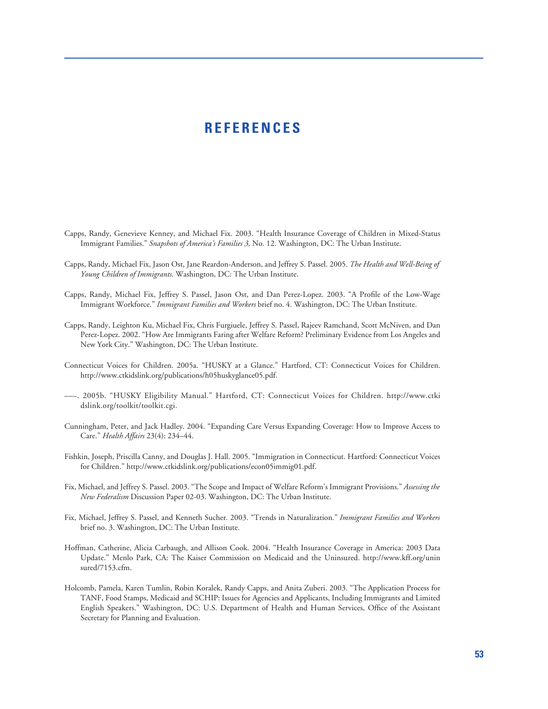#### **REFERENCES**

- Capps, Randy, Genevieve Kenney, and Michael Fix. 2003. "Health Insurance Coverage of Children in Mixed-Status Immigrant Families." *Snapshots of America's Families 3,* No. 12. Washington, DC: The Urban Institute.
- Capps, Randy, Michael Fix, Jason Ost, Jane Reardon-Anderson, and Jeffrey S. Passel. 2005. *The Health and Well-Being of Young Children of Immigrants*. Washington, DC: The Urban Institute.
- Capps, Randy, Michael Fix, Jeffrey S. Passel, Jason Ost, and Dan Perez-Lopez. 2003. "A Profile of the Low-Wage Immigrant Workforce." *Immigrant Families and Workers* brief no. 4. Washington, DC: The Urban Institute.
- Capps, Randy, Leighton Ku, Michael Fix, Chris Furgiuele, Jeffrey S. Passel, Rajeev Ramchand, Scott McNiven, and Dan Perez-Lopez. 2002. "How Are Immigrants Faring after Welfare Reform? Preliminary Evidence from Los Angeles and New York City." Washington, DC: The Urban Institute.
- Connecticut Voices for Children. 2005a. "HUSKY at a Glance." Hartford, CT: Connecticut Voices for Children. http://www.ctkidslink.org/publications/h05huskyglance05.pdf.
- –––. 2005b. "HUSKY Eligibility Manual." Hartford, CT: Connecticut Voices for Children. http://www.ctki dslink.org/toolkit/toolkit.cgi.
- Cunningham, Peter, and Jack Hadley. 2004. "Expanding Care Versus Expanding Coverage: How to Improve Access to Care." *Health Affairs* 23(4): 234–44.
- Fishkin, Joseph, Priscilla Canny, and Douglas J. Hall. 2005. "Immigration in Connecticut. Hartford: Connecticut Voices for Children." http://www.ctkidslink.org/publications/econ05immig01.pdf.
- Fix, Michael, and Jeffrey S. Passel. 2003. "The Scope and Impact of Welfare Reform's Immigrant Provisions." *Assessing the New Federalism* Discussion Paper 02-03. Washington, DC: The Urban Institute.
- Fix, Michael, Jeffrey S. Passel, and Kenneth Sucher. 2003. "Trends in Naturalization." *Immigrant Families and Workers* brief no. 3. Washington, DC: The Urban Institute.
- Hoffman, Catherine, Alicia Carbaugh, and Allison Cook. 2004. "Health Insurance Coverage in America: 2003 Data Update." Menlo Park, CA: The Kaiser Commission on Medicaid and the Uninsured. http://www.kff.org/unin sured/7153.cfm.
- Holcomb, Pamela, Karen Tumlin, Robin Koralek, Randy Capps, and Anita Zuberi. 2003. "The Application Process for TANF, Food Stamps, Medicaid and SCHIP: Issues for Agencies and Applicants, Including Immigrants and Limited English Speakers." Washington, DC: U.S. Department of Health and Human Services, Office of the Assistant Secretary for Planning and Evaluation.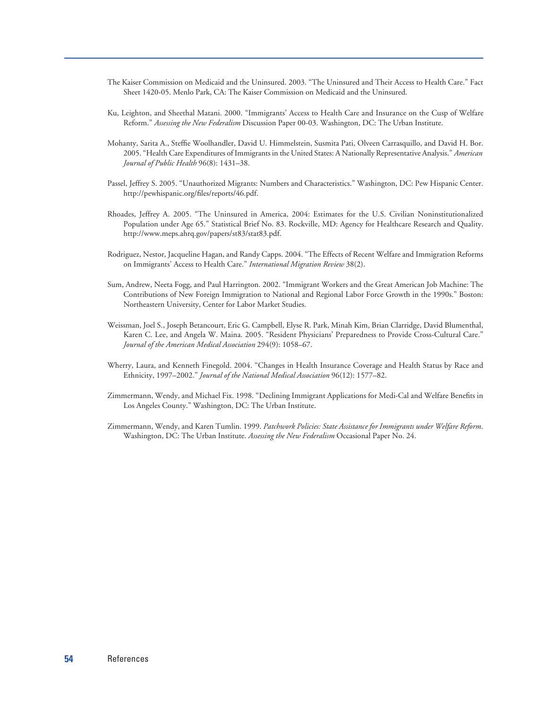- The Kaiser Commission on Medicaid and the Uninsured. 2003. "The Uninsured and Their Access to Health Care." Fact Sheet 1420-05. Menlo Park, CA: The Kaiser Commission on Medicaid and the Uninsured.
- Ku, Leighton, and Sheethal Matani. 2000. "Immigrants' Access to Health Care and Insurance on the Cusp of Welfare Reform." *Assessing the New Federalism* Discussion Paper 00-03. Washington, DC: The Urban Institute.
- Mohanty, Sarita A., Steffie Woolhandler, David U. Himmelstein, Susmita Pati, Olveen Carrasquillo, and David H. Bor. 2005. "Health Care Expenditures of Immigrants in the United States: A Nationally Representative Analysis." *American Journal of Public Health* 96(8): 1431–38.
- Passel, Jeffrey S. 2005. "Unauthorized Migrants: Numbers and Characteristics." Washington, DC: Pew Hispanic Center. http://pewhispanic.org/files/reports/46.pdf.
- Rhoades, Jeffrey A. 2005. "The Uninsured in America, 2004: Estimates for the U.S. Civilian Noninstitutionalized Population under Age 65." Statistical Brief No. 83. Rockville, MD: Agency for Healthcare Research and Quality. http://www.meps.ahrq.gov/papers/st83/stat83.pdf.
- Rodriguez, Nestor, Jacqueline Hagan, and Randy Capps. 2004. "The Effects of Recent Welfare and Immigration Reforms on Immigrants' Access to Health Care." *International Migration Review* 38(2).
- Sum, Andrew, Neeta Fogg, and Paul Harrington. 2002. "Immigrant Workers and the Great American Job Machine: The Contributions of New Foreign Immigration to National and Regional Labor Force Growth in the 1990s." Boston: Northeastern University, Center for Labor Market Studies.
- Weissman, Joel S., Joseph Betancourt, Eric G. Campbell, Elyse R. Park, Minah Kim, Brian Clarridge, David Blumenthal, Karen C. Lee, and Angela W. Maina. 2005. "Resident Physicians' Preparedness to Provide Cross-Cultural Care." *Journal of the American Medical Association* 294(9): 1058–67.
- Wherry, Laura, and Kenneth Finegold. 2004. "Changes in Health Insurance Coverage and Health Status by Race and Ethnicity, 1997–2002." *Journal of the National Medical Association* 96(12): 1577–82.
- Zimmermann, Wendy, and Michael Fix. 1998. "Declining Immigrant Applications for Medi-Cal and Welfare Benefits in Los Angeles County." Washington, DC: The Urban Institute.
- Zimmermann, Wendy, and Karen Tumlin. 1999. *Patchwork Policies: State Assistance for Immigrants under Welfare Reform*. Washington, DC: The Urban Institute. *Assessing the New Federalism* Occasional Paper No. 24.